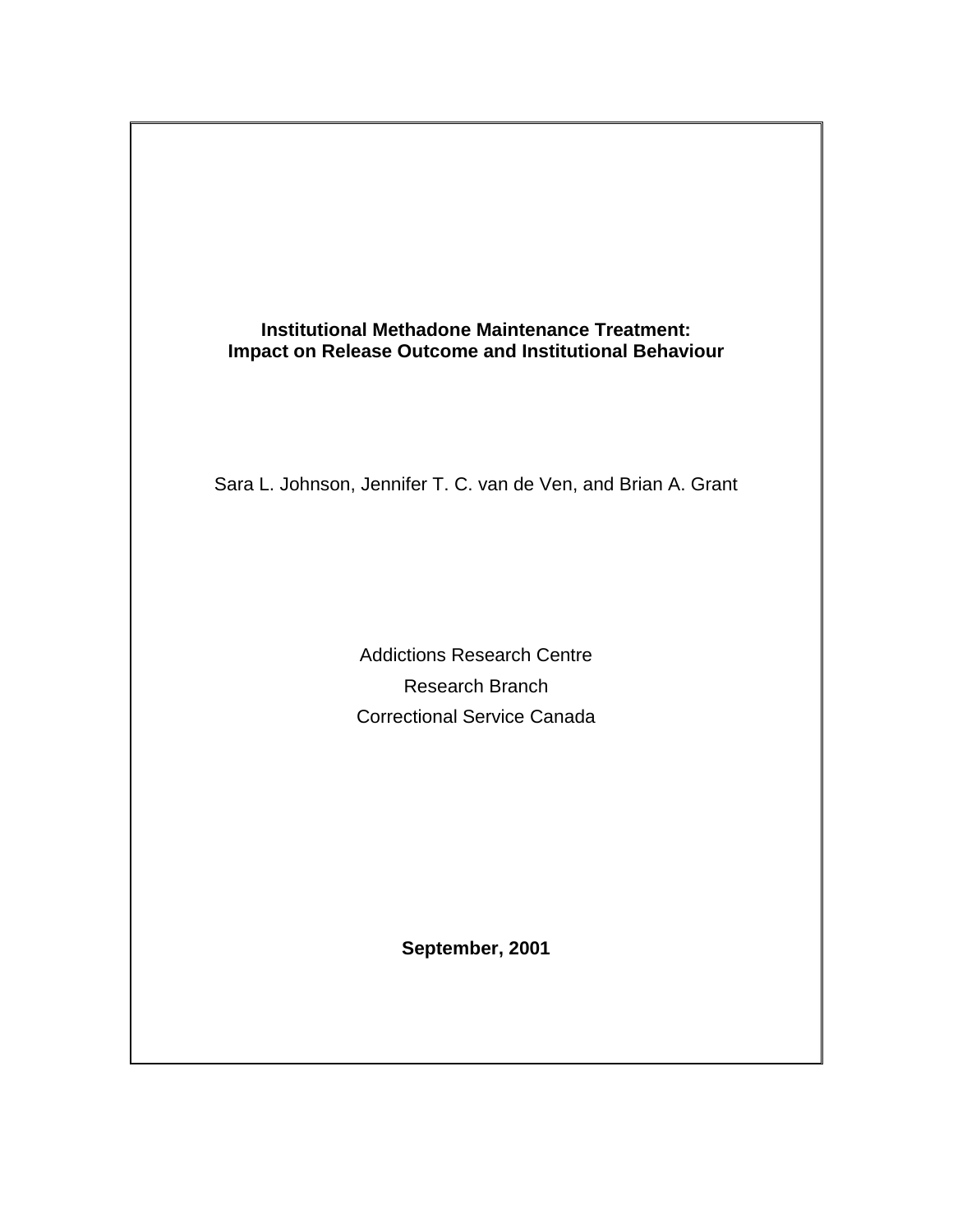

Sara L. Johnson, Jennifer T. C. van de Ven, and Brian A. Grant

Addictions Research Centre Research Branch Correctional Service Canada

**September, 2001**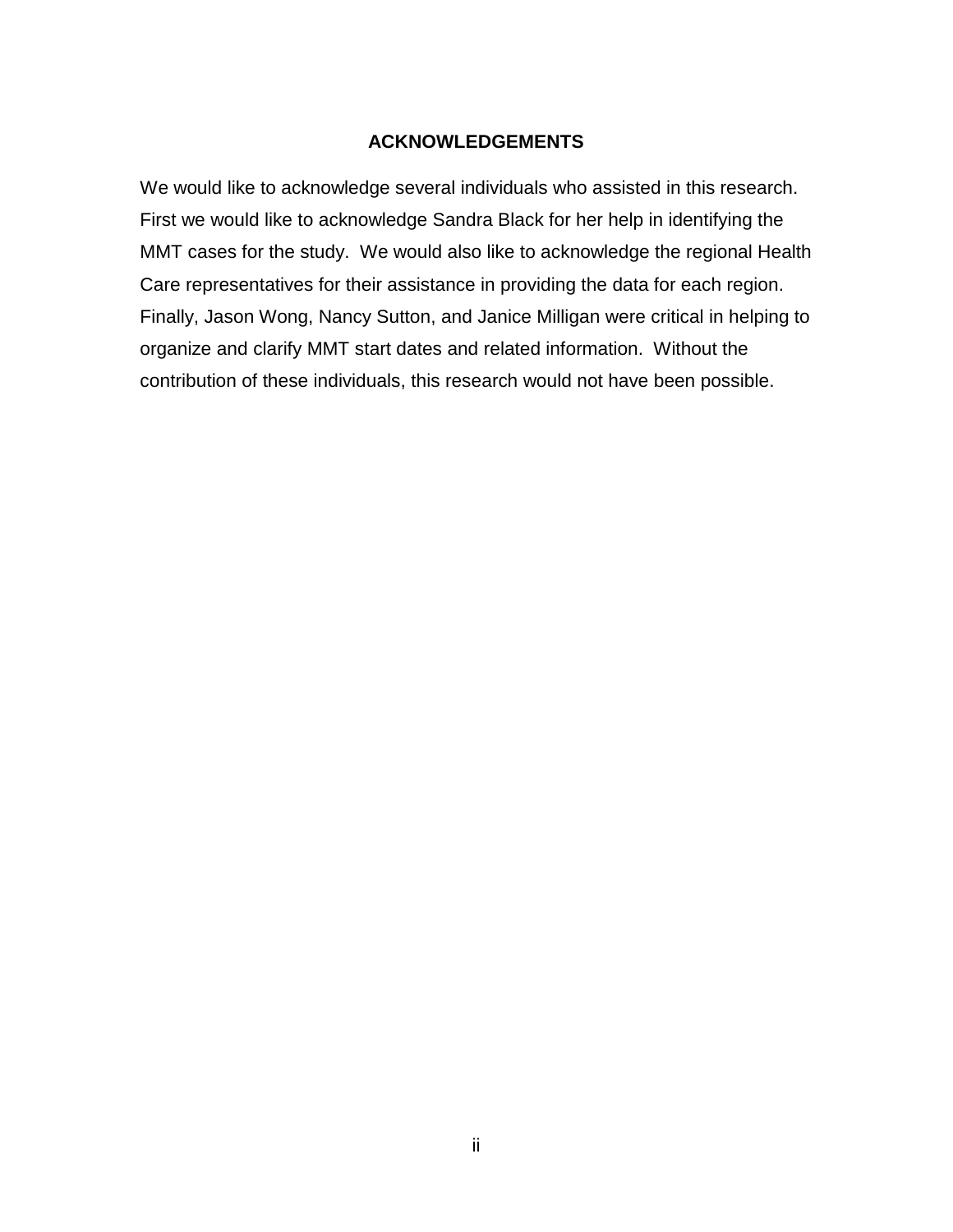#### **ACKNOWLEDGEMENTS**

<span id="page-1-0"></span>We would like to acknowledge several individuals who assisted in this research. First we would like to acknowledge Sandra Black for her help in identifying the MMT cases for the study. We would also like to acknowledge the regional Health Care representatives for their assistance in providing the data for each region. Finally, Jason Wong, Nancy Sutton, and Janice Milligan were critical in helping to organize and clarify MMT start dates and related information. Without the contribution of these individuals, this research would not have been possible.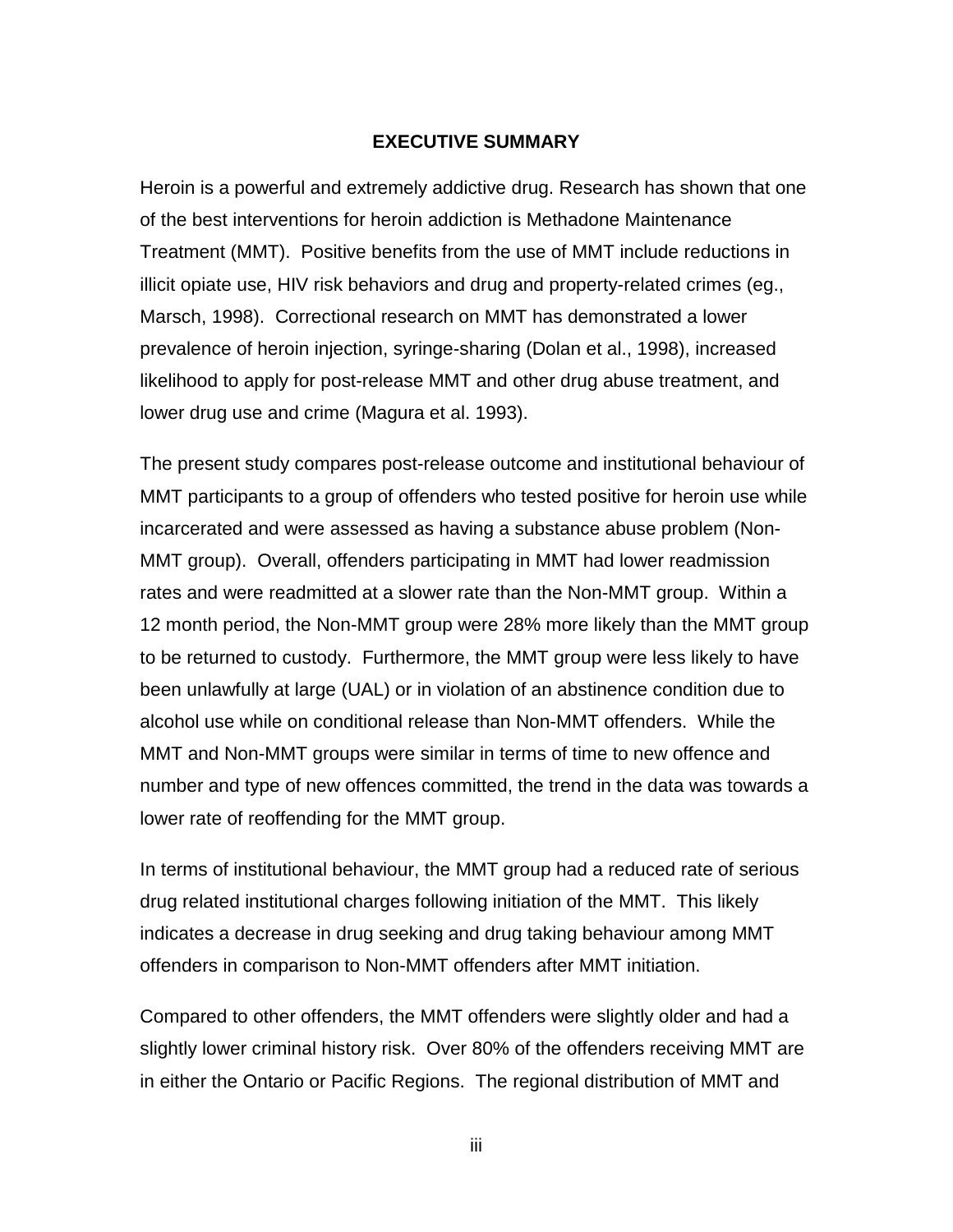#### **EXECUTIVE SUMMARY**

<span id="page-2-0"></span>Heroin is a powerful and extremely addictive drug. Research has shown that one of the best interventions for heroin addiction is Methadone Maintenance Treatment (MMT). Positive benefits from the use of MMT include reductions in illicit opiate use, HIV risk behaviors and drug and property-related crimes (eg., Marsch, 1998). Correctional research on MMT has demonstrated a lower prevalence of heroin injection, syringe-sharing (Dolan et al., 1998), increased likelihood to apply for post-release MMT and other drug abuse treatment, and lower drug use and crime (Magura et al. 1993).

The present study compares post-release outcome and institutional behaviour of MMT participants to a group of offenders who tested positive for heroin use while incarcerated and were assessed as having a substance abuse problem (Non-MMT group). Overall, offenders participating in MMT had lower readmission rates and were readmitted at a slower rate than the Non-MMT group. Within a 12 month period, the Non-MMT group were 28% more likely than the MMT group to be returned to custody. Furthermore, the MMT group were less likely to have been unlawfully at large (UAL) or in violation of an abstinence condition due to alcohol use while on conditional release than Non-MMT offenders. While the MMT and Non-MMT groups were similar in terms of time to new offence and number and type of new offences committed, the trend in the data was towards a lower rate of reoffending for the MMT group.

In terms of institutional behaviour, the MMT group had a reduced rate of serious drug related institutional charges following initiation of the MMT. This likely indicates a decrease in drug seeking and drug taking behaviour among MMT offenders in comparison to Non-MMT offenders after MMT initiation.

Compared to other offenders, the MMT offenders were slightly older and had a slightly lower criminal history risk. Over 80% of the offenders receiving MMT are in either the Ontario or Pacific Regions. The regional distribution of MMT and

iii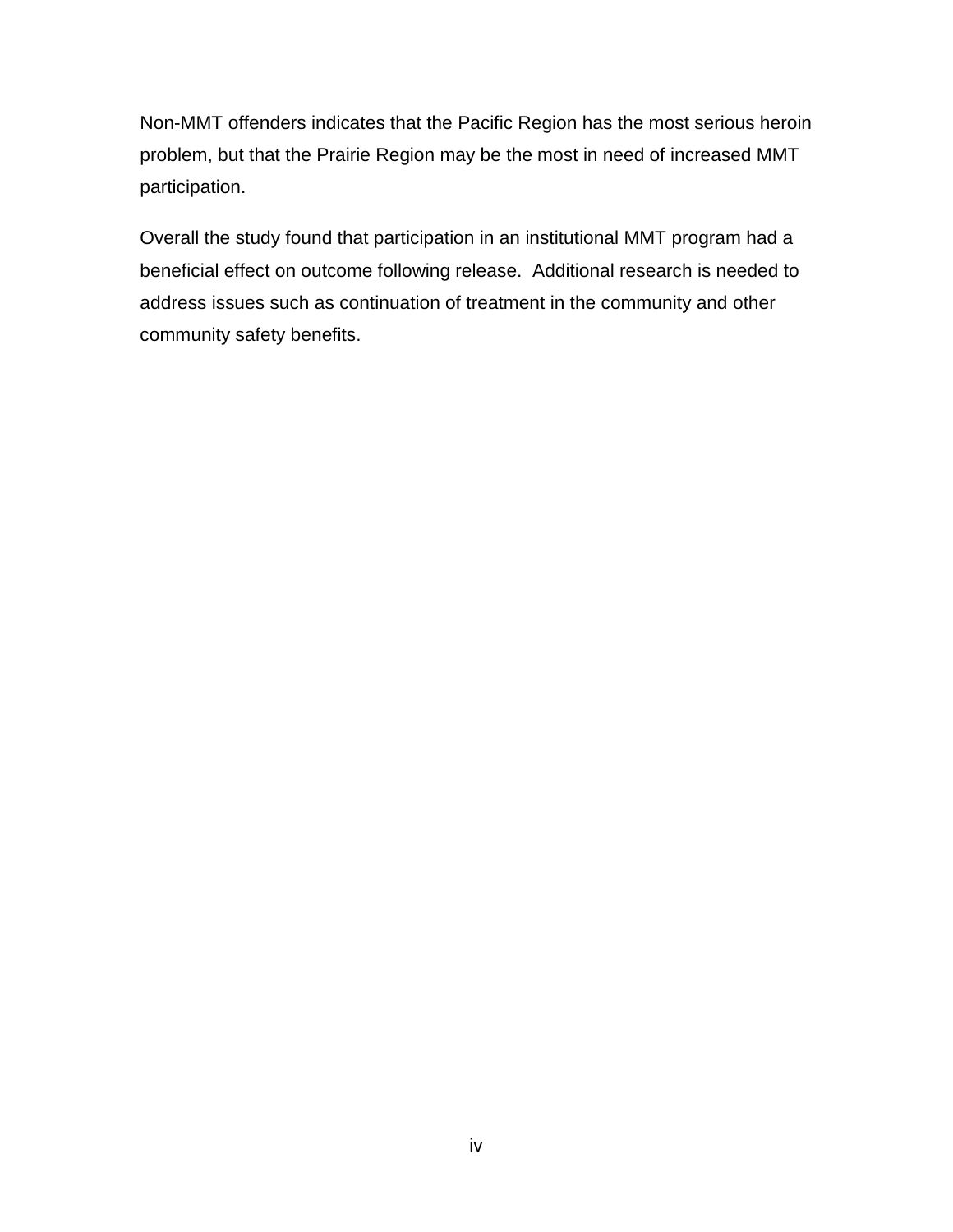Non-MMT offenders indicates that the Pacific Region has the most serious heroin problem, but that the Prairie Region may be the most in need of increased MMT participation.

Overall the study found that participation in an institutional MMT program had a beneficial effect on outcome following release. Additional research is needed to address issues such as continuation of treatment in the community and other community safety benefits.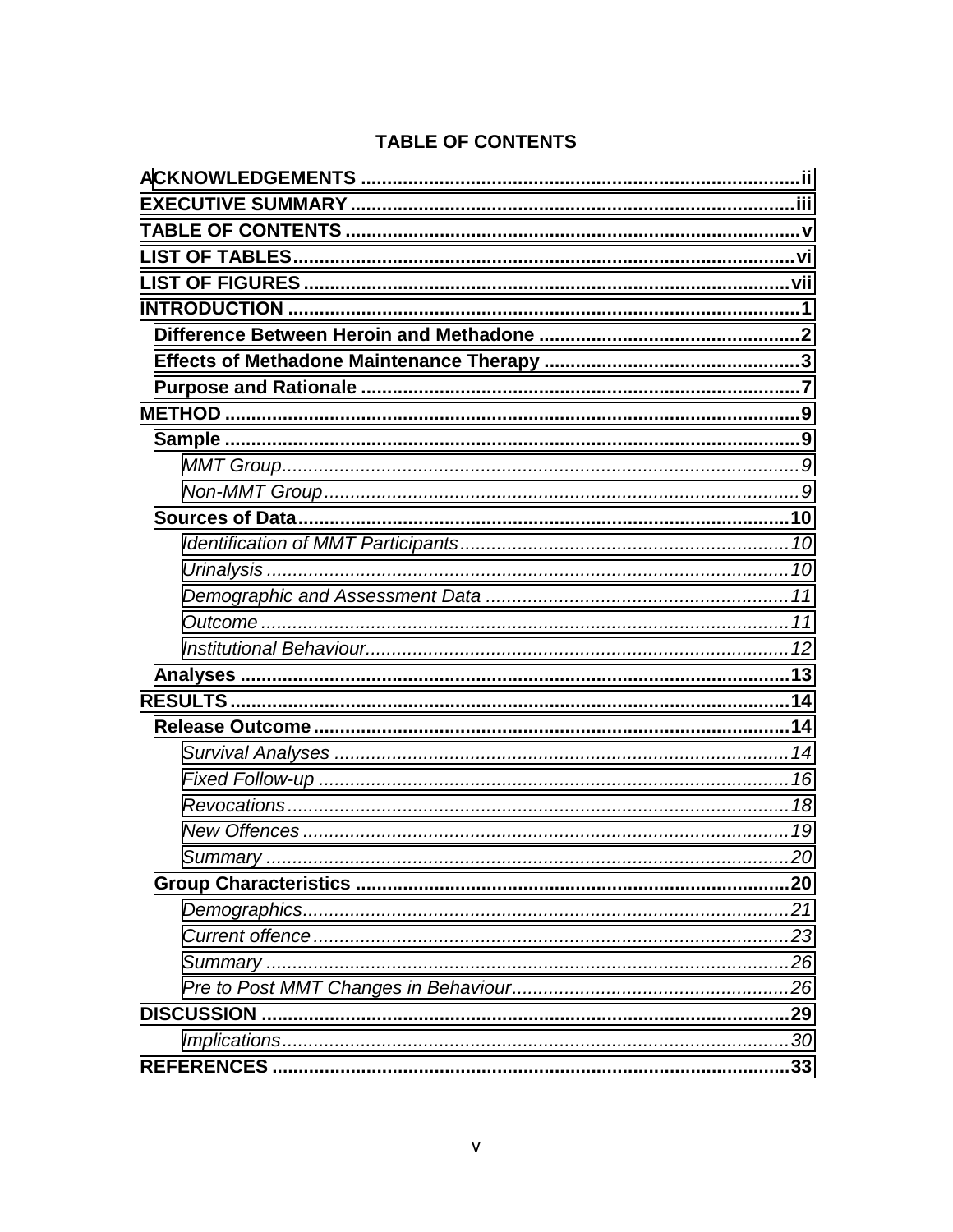# **TABLE OF CONTENTS**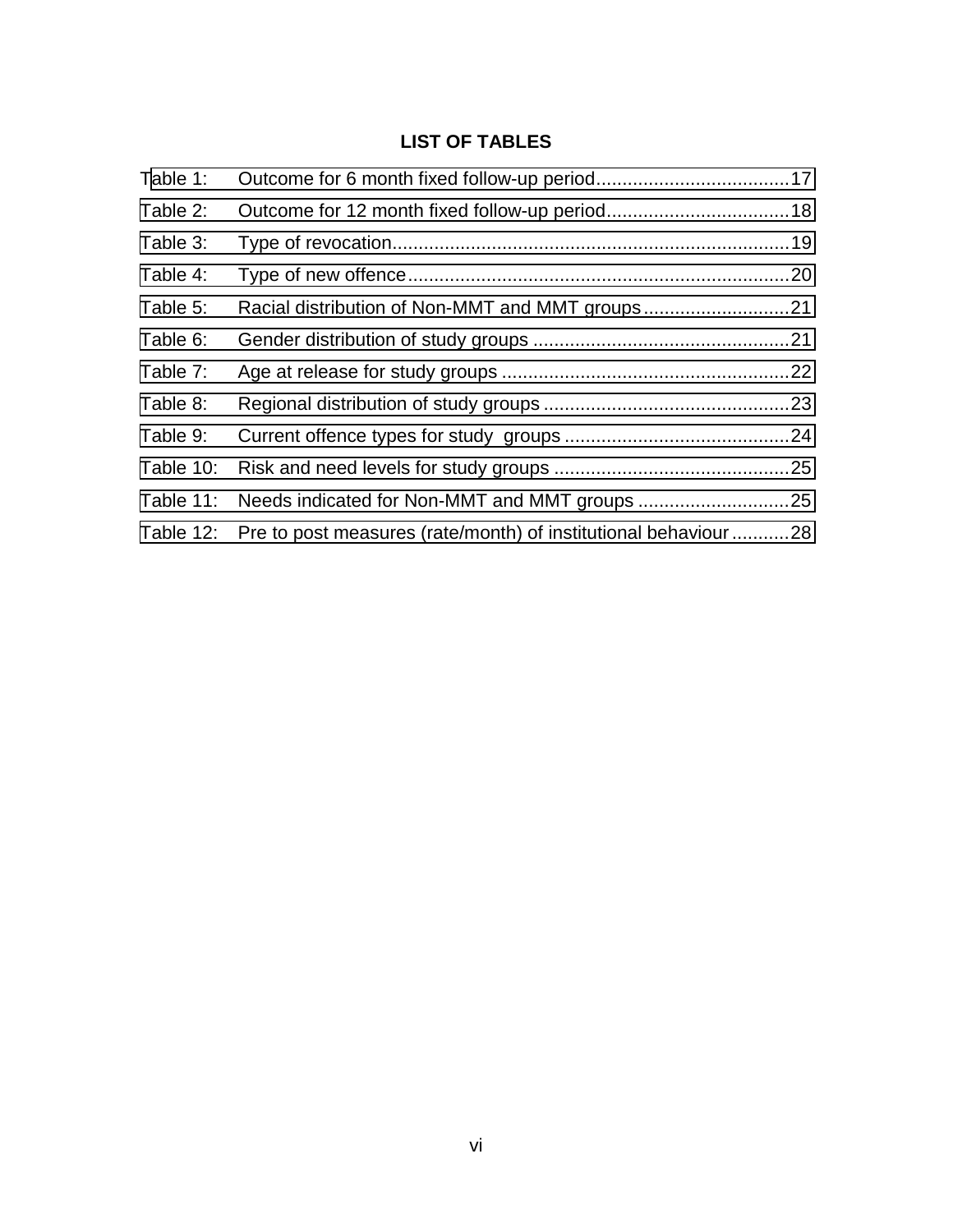# **LIST OF TABLES**

<span id="page-5-0"></span>

| Table 1:  |                                                                          |  |
|-----------|--------------------------------------------------------------------------|--|
| Table 2:  |                                                                          |  |
| Table 3:  |                                                                          |  |
| Table 4:  |                                                                          |  |
| Table 5:  | Racial distribution of Non-MMT and MMT groups21                          |  |
| Table 6:  |                                                                          |  |
| Table 7:  |                                                                          |  |
| Table 8:  |                                                                          |  |
| Table 9:  |                                                                          |  |
| Table 10: |                                                                          |  |
| Table 11: |                                                                          |  |
|           | Table 12: Pre to post measures (rate/month) of institutional behaviour28 |  |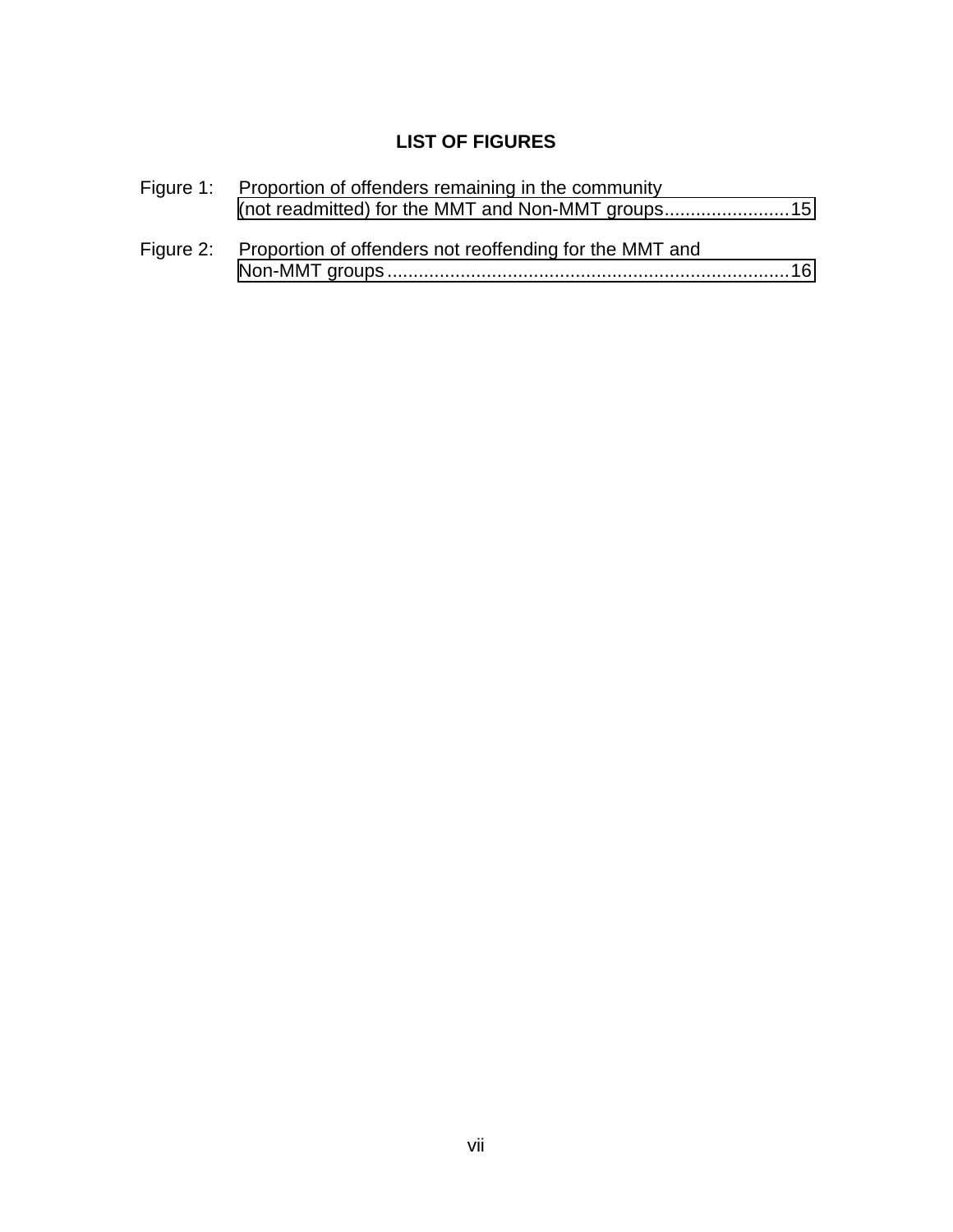# **LIST OF FIGURES**

<span id="page-6-0"></span>

| Figure 1: Proportion of offenders remaining in the community      |  |
|-------------------------------------------------------------------|--|
| Figure 2: Proportion of offenders not reoffending for the MMT and |  |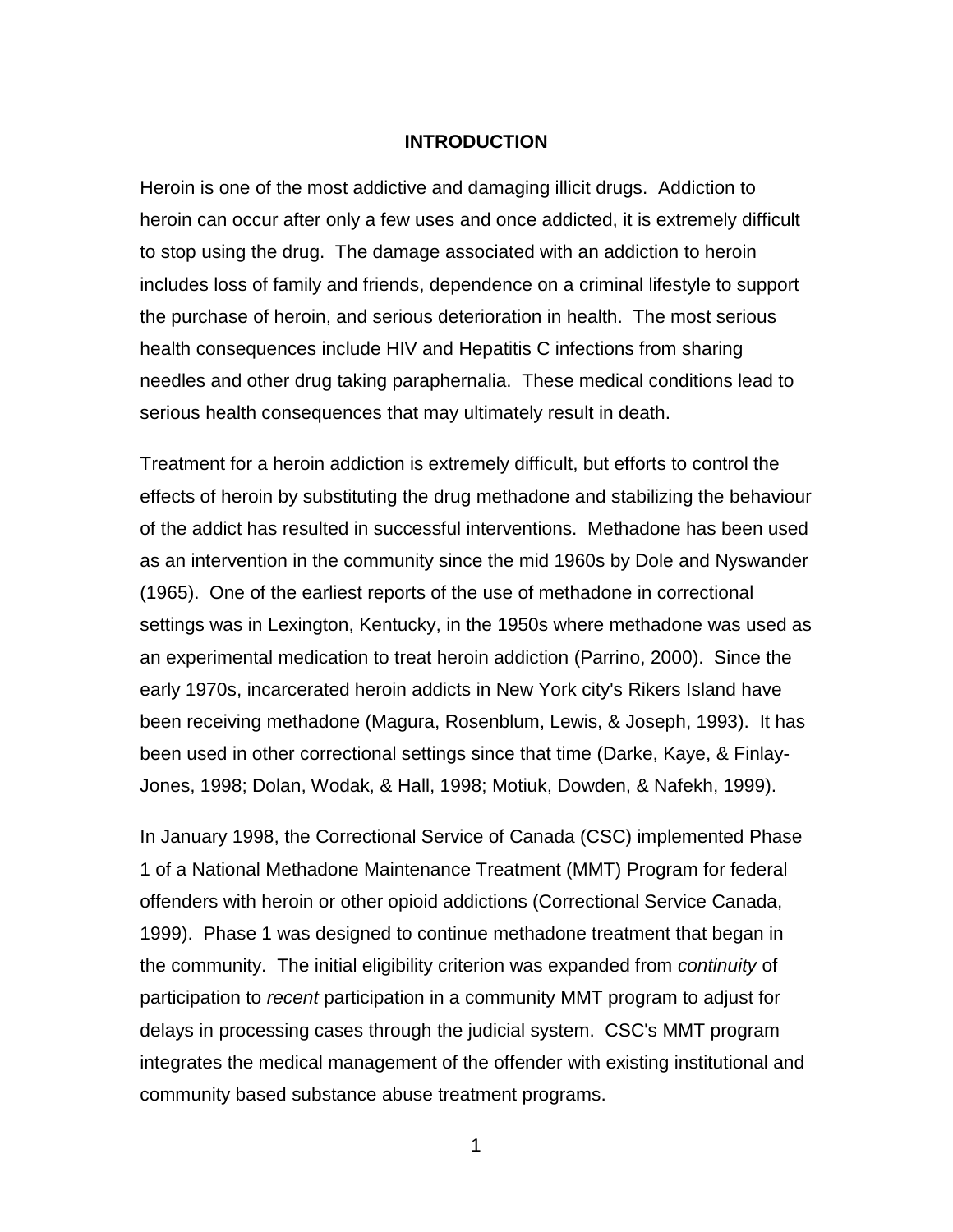#### **INTRODUCTION**

<span id="page-7-0"></span>Heroin is one of the most addictive and damaging illicit drugs. Addiction to heroin can occur after only a few uses and once addicted, it is extremely difficult to stop using the drug. The damage associated with an addiction to heroin includes loss of family and friends, dependence on a criminal lifestyle to support the purchase of heroin, and serious deterioration in health. The most serious health consequences include HIV and Hepatitis C infections from sharing needles and other drug taking paraphernalia. These medical conditions lead to serious health consequences that may ultimately result in death.

Treatment for a heroin addiction is extremely difficult, but efforts to control the effects of heroin by substituting the drug methadone and stabilizing the behaviour of the addict has resulted in successful interventions. Methadone has been used as an intervention in the community since the mid 1960s by Dole and Nyswander (1965). One of the earliest reports of the use of methadone in correctional settings was in Lexington, Kentucky, in the 1950s where methadone was used as an experimental medication to treat heroin addiction (Parrino, 2000). Since the early 1970s, incarcerated heroin addicts in New York city's Rikers Island have been receiving methadone (Magura, Rosenblum, Lewis, & Joseph, 1993). It has been used in other correctional settings since that time (Darke, Kaye, & Finlay-Jones, 1998; Dolan, Wodak, & Hall, 1998; Motiuk, Dowden, & Nafekh, 1999).

In January 1998, the Correctional Service of Canada (CSC) implemented Phase 1 of a National Methadone Maintenance Treatment (MMT) Program for federal offenders with heroin or other opioid addictions (Correctional Service Canada, 1999). Phase 1 was designed to continue methadone treatment that began in the community. The initial eligibility criterion was expanded from *continuity* of participation to *recent* participation in a community MMT program to adjust for delays in processing cases through the judicial system. CSC's MMT program integrates the medical management of the offender with existing institutional and community based substance abuse treatment programs.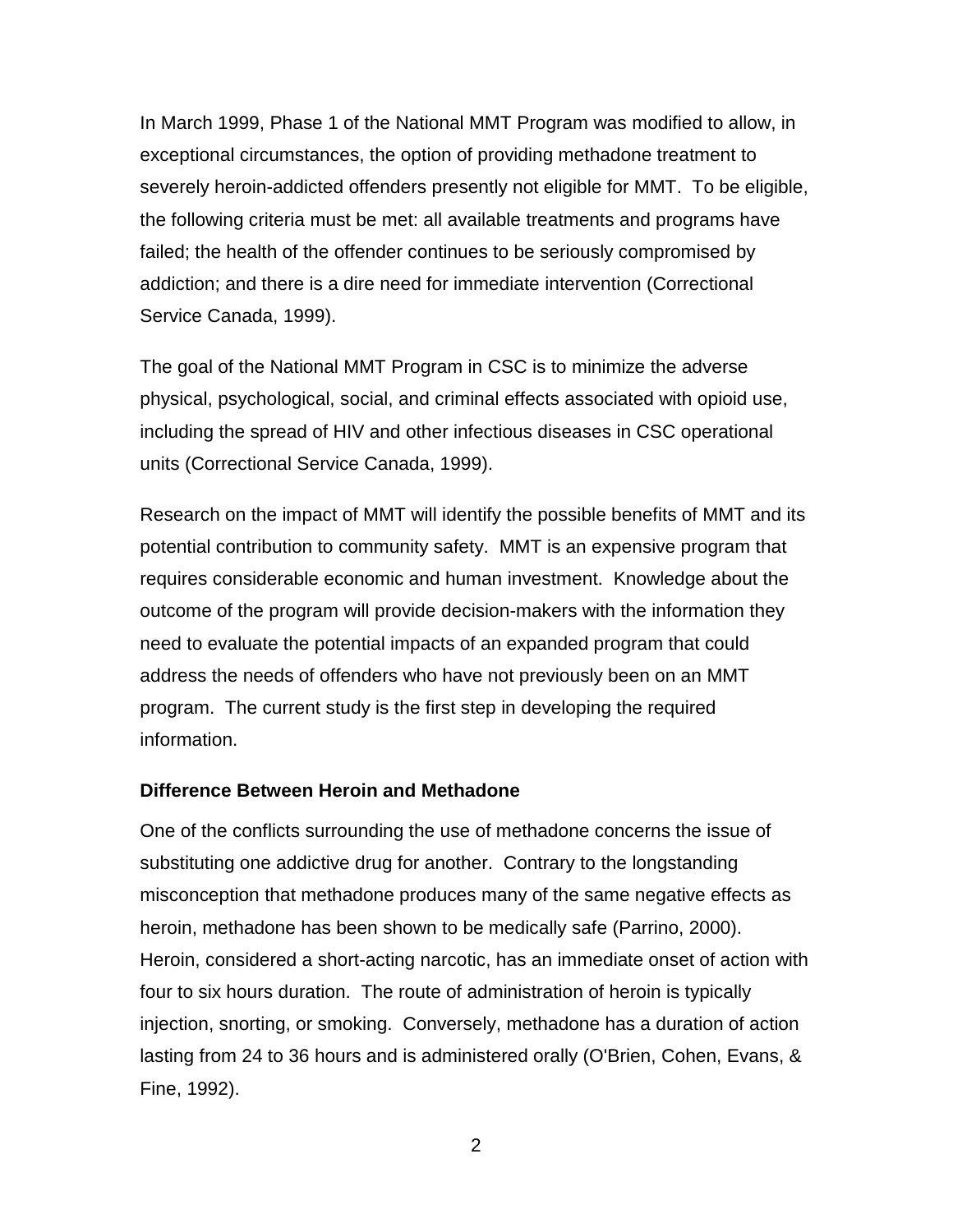<span id="page-8-0"></span>In March 1999, Phase 1 of the National MMT Program was modified to allow, in exceptional circumstances, the option of providing methadone treatment to severely heroin-addicted offenders presently not eligible for MMT. To be eligible, the following criteria must be met: all available treatments and programs have failed; the health of the offender continues to be seriously compromised by addiction; and there is a dire need for immediate intervention (Correctional Service Canada, 1999).

The goal of the National MMT Program in CSC is to minimize the adverse physical, psychological, social, and criminal effects associated with opioid use, including the spread of HIV and other infectious diseases in CSC operational units (Correctional Service Canada, 1999).

Research on the impact of MMT will identify the possible benefits of MMT and its potential contribution to community safety. MMT is an expensive program that requires considerable economic and human investment. Knowledge about the outcome of the program will provide decision-makers with the information they need to evaluate the potential impacts of an expanded program that could address the needs of offenders who have not previously been on an MMT program. The current study is the first step in developing the required information.

#### **Difference Between Heroin and Methadone**

One of the conflicts surrounding the use of methadone concerns the issue of substituting one addictive drug for another. Contrary to the longstanding misconception that methadone produces many of the same negative effects as heroin, methadone has been shown to be medically safe (Parrino, 2000). Heroin, considered a short-acting narcotic, has an immediate onset of action with four to six hours duration. The route of administration of heroin is typically injection, snorting, or smoking. Conversely, methadone has a duration of action lasting from 24 to 36 hours and is administered orally (O'Brien, Cohen, Evans, & Fine, 1992).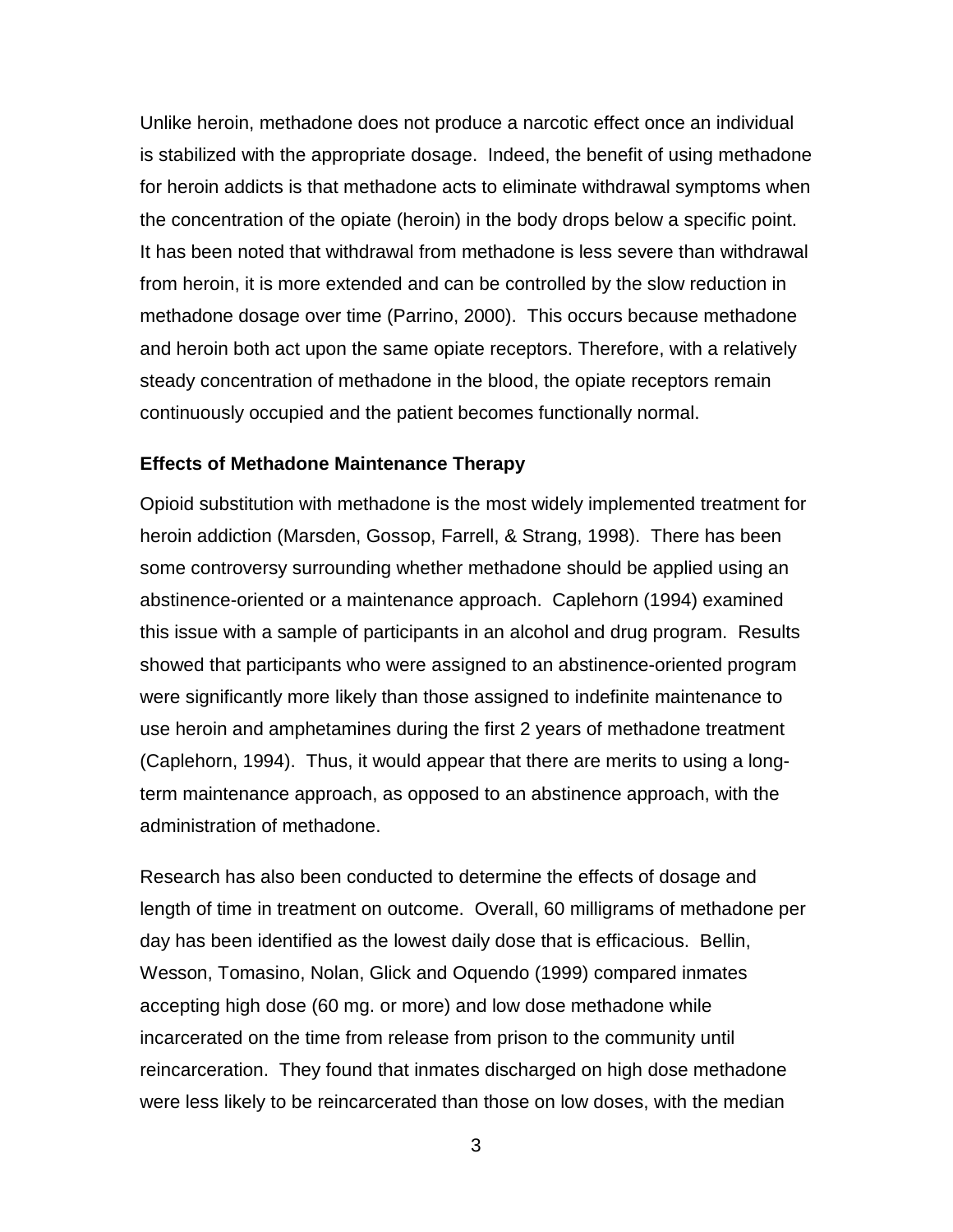<span id="page-9-0"></span>Unlike heroin, methadone does not produce a narcotic effect once an individual is stabilized with the appropriate dosage. Indeed, the benefit of using methadone for heroin addicts is that methadone acts to eliminate withdrawal symptoms when the concentration of the opiate (heroin) in the body drops below a specific point. It has been noted that withdrawal from methadone is less severe than withdrawal from heroin, it is more extended and can be controlled by the slow reduction in methadone dosage over time (Parrino, 2000). This occurs because methadone and heroin both act upon the same opiate receptors. Therefore, with a relatively steady concentration of methadone in the blood, the opiate receptors remain continuously occupied and the patient becomes functionally normal.

#### **Effects of Methadone Maintenance Therapy**

Opioid substitution with methadone is the most widely implemented treatment for heroin addiction (Marsden, Gossop, Farrell, & Strang, 1998). There has been some controversy surrounding whether methadone should be applied using an abstinence-oriented or a maintenance approach. Caplehorn (1994) examined this issue with a sample of participants in an alcohol and drug program. Results showed that participants who were assigned to an abstinence-oriented program were significantly more likely than those assigned to indefinite maintenance to use heroin and amphetamines during the first 2 years of methadone treatment (Caplehorn, 1994). Thus, it would appear that there are merits to using a longterm maintenance approach, as opposed to an abstinence approach, with the administration of methadone.

Research has also been conducted to determine the effects of dosage and length of time in treatment on outcome. Overall, 60 milligrams of methadone per day has been identified as the lowest daily dose that is efficacious. Bellin, Wesson, Tomasino, Nolan, Glick and Oquendo (1999) compared inmates accepting high dose (60 mg. or more) and low dose methadone while incarcerated on the time from release from prison to the community until reincarceration. They found that inmates discharged on high dose methadone were less likely to be reincarcerated than those on low doses, with the median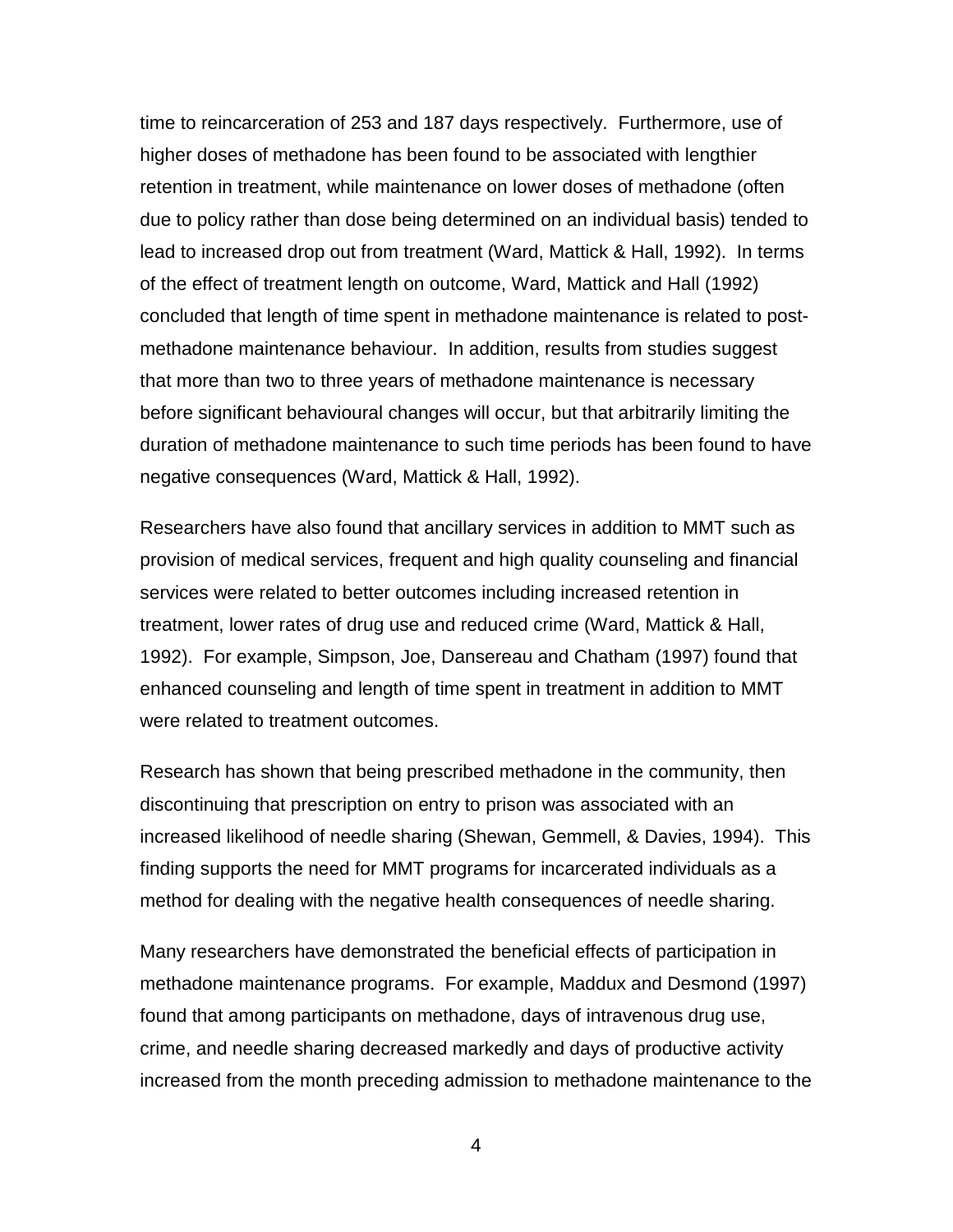time to reincarceration of 253 and 187 days respectively. Furthermore, use of higher doses of methadone has been found to be associated with lengthier retention in treatment, while maintenance on lower doses of methadone (often due to policy rather than dose being determined on an individual basis) tended to lead to increased drop out from treatment (Ward, Mattick & Hall, 1992). In terms of the effect of treatment length on outcome, Ward, Mattick and Hall (1992) concluded that length of time spent in methadone maintenance is related to postmethadone maintenance behaviour. In addition, results from studies suggest that more than two to three years of methadone maintenance is necessary before significant behavioural changes will occur, but that arbitrarily limiting the duration of methadone maintenance to such time periods has been found to have negative consequences (Ward, Mattick & Hall, 1992).

Researchers have also found that ancillary services in addition to MMT such as provision of medical services, frequent and high quality counseling and financial services were related to better outcomes including increased retention in treatment, lower rates of drug use and reduced crime (Ward, Mattick & Hall, 1992). For example, Simpson, Joe, Dansereau and Chatham (1997) found that enhanced counseling and length of time spent in treatment in addition to MMT were related to treatment outcomes.

Research has shown that being prescribed methadone in the community, then discontinuing that prescription on entry to prison was associated with an increased likelihood of needle sharing (Shewan, Gemmell, & Davies, 1994). This finding supports the need for MMT programs for incarcerated individuals as a method for dealing with the negative health consequences of needle sharing.

Many researchers have demonstrated the beneficial effects of participation in methadone maintenance programs. For example, Maddux and Desmond (1997) found that among participants on methadone, days of intravenous drug use, crime, and needle sharing decreased markedly and days of productive activity increased from the month preceding admission to methadone maintenance to the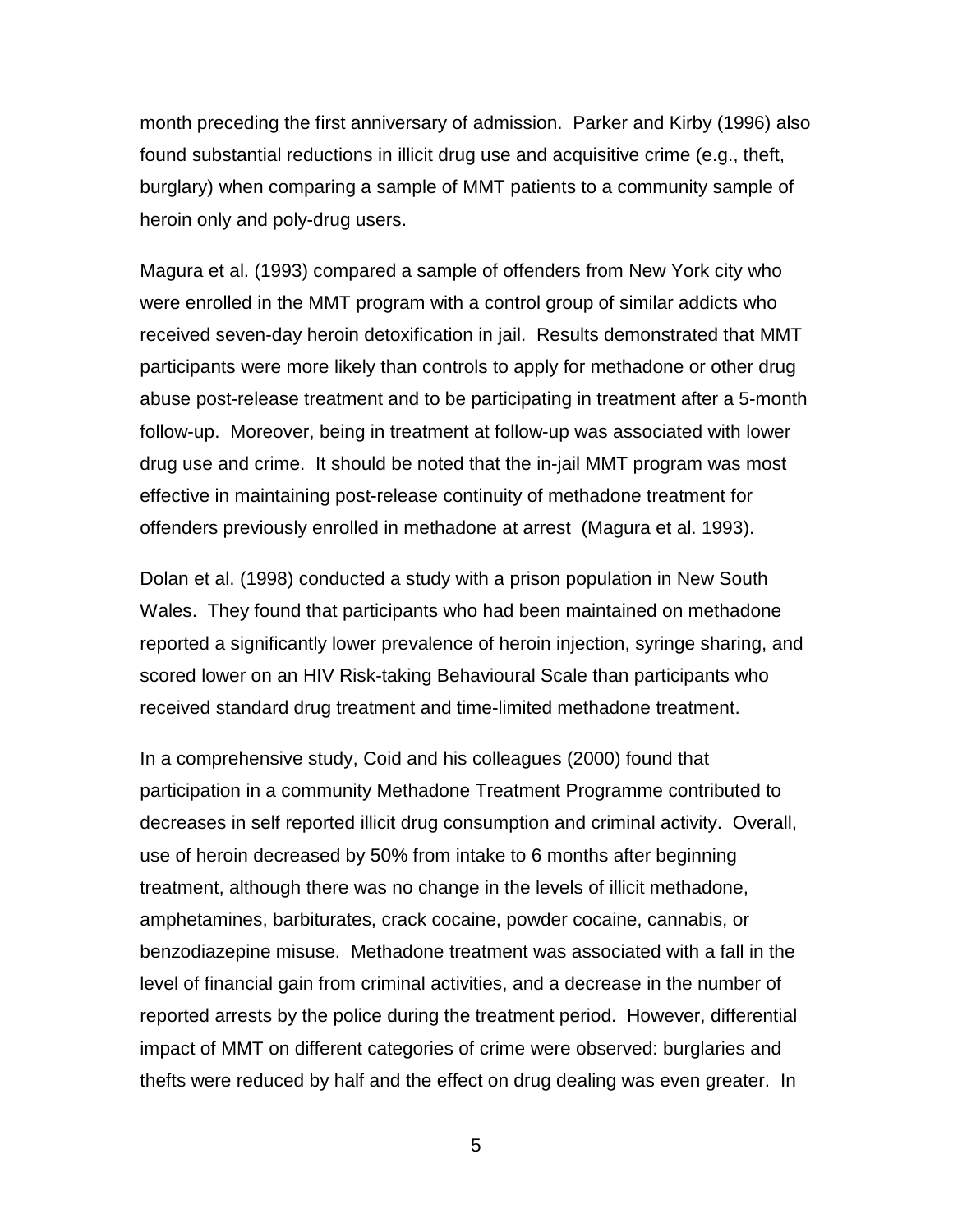month preceding the first anniversary of admission. Parker and Kirby (1996) also found substantial reductions in illicit drug use and acquisitive crime (e.g., theft, burglary) when comparing a sample of MMT patients to a community sample of heroin only and poly-drug users.

Magura et al. (1993) compared a sample of offenders from New York city who were enrolled in the MMT program with a control group of similar addicts who received seven-day heroin detoxification in jail. Results demonstrated that MMT participants were more likely than controls to apply for methadone or other drug abuse post-release treatment and to be participating in treatment after a 5-month follow-up. Moreover, being in treatment at follow-up was associated with lower drug use and crime. It should be noted that the in-jail MMT program was most effective in maintaining post-release continuity of methadone treatment for offenders previously enrolled in methadone at arrest (Magura et al. 1993).

Dolan et al. (1998) conducted a study with a prison population in New South Wales. They found that participants who had been maintained on methadone reported a significantly lower prevalence of heroin injection, syringe sharing, and scored lower on an HIV Risk-taking Behavioural Scale than participants who received standard drug treatment and time-limited methadone treatment.

In a comprehensive study, Coid and his colleagues (2000) found that participation in a community Methadone Treatment Programme contributed to decreases in self reported illicit drug consumption and criminal activity. Overall, use of heroin decreased by 50% from intake to 6 months after beginning treatment, although there was no change in the levels of illicit methadone, amphetamines, barbiturates, crack cocaine, powder cocaine, cannabis, or benzodiazepine misuse. Methadone treatment was associated with a fall in the level of financial gain from criminal activities, and a decrease in the number of reported arrests by the police during the treatment period. However, differential impact of MMT on different categories of crime were observed: burglaries and thefts were reduced by half and the effect on drug dealing was even greater. In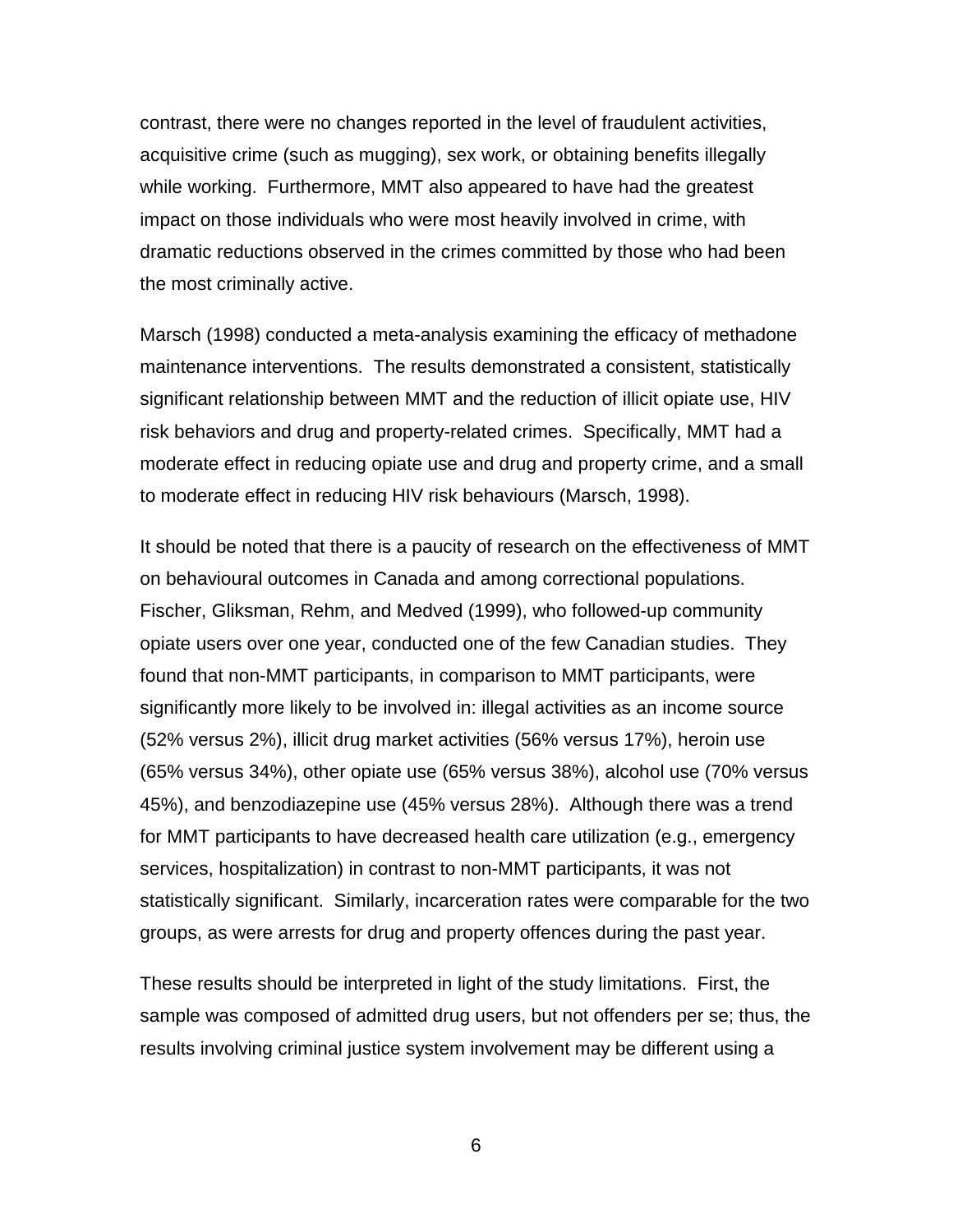contrast, there were no changes reported in the level of fraudulent activities, acquisitive crime (such as mugging), sex work, or obtaining benefits illegally while working. Furthermore, MMT also appeared to have had the greatest impact on those individuals who were most heavily involved in crime, with dramatic reductions observed in the crimes committed by those who had been the most criminally active.

Marsch (1998) conducted a meta-analysis examining the efficacy of methadone maintenance interventions. The results demonstrated a consistent, statistically significant relationship between MMT and the reduction of illicit opiate use, HIV risk behaviors and drug and property-related crimes. Specifically, MMT had a moderate effect in reducing opiate use and drug and property crime, and a small to moderate effect in reducing HIV risk behaviours (Marsch, 1998).

It should be noted that there is a paucity of research on the effectiveness of MMT on behavioural outcomes in Canada and among correctional populations. Fischer, Gliksman, Rehm, and Medved (1999), who followed-up community opiate users over one year, conducted one of the few Canadian studies. They found that non-MMT participants, in comparison to MMT participants, were significantly more likely to be involved in: illegal activities as an income source (52% versus 2%), illicit drug market activities (56% versus 17%), heroin use (65% versus 34%), other opiate use (65% versus 38%), alcohol use (70% versus 45%), and benzodiazepine use (45% versus 28%). Although there was a trend for MMT participants to have decreased health care utilization (e.g., emergency services, hospitalization) in contrast to non-MMT participants, it was not statistically significant. Similarly, incarceration rates were comparable for the two groups, as were arrests for drug and property offences during the past year.

These results should be interpreted in light of the study limitations. First, the sample was composed of admitted drug users, but not offenders per se; thus, the results involving criminal justice system involvement may be different using a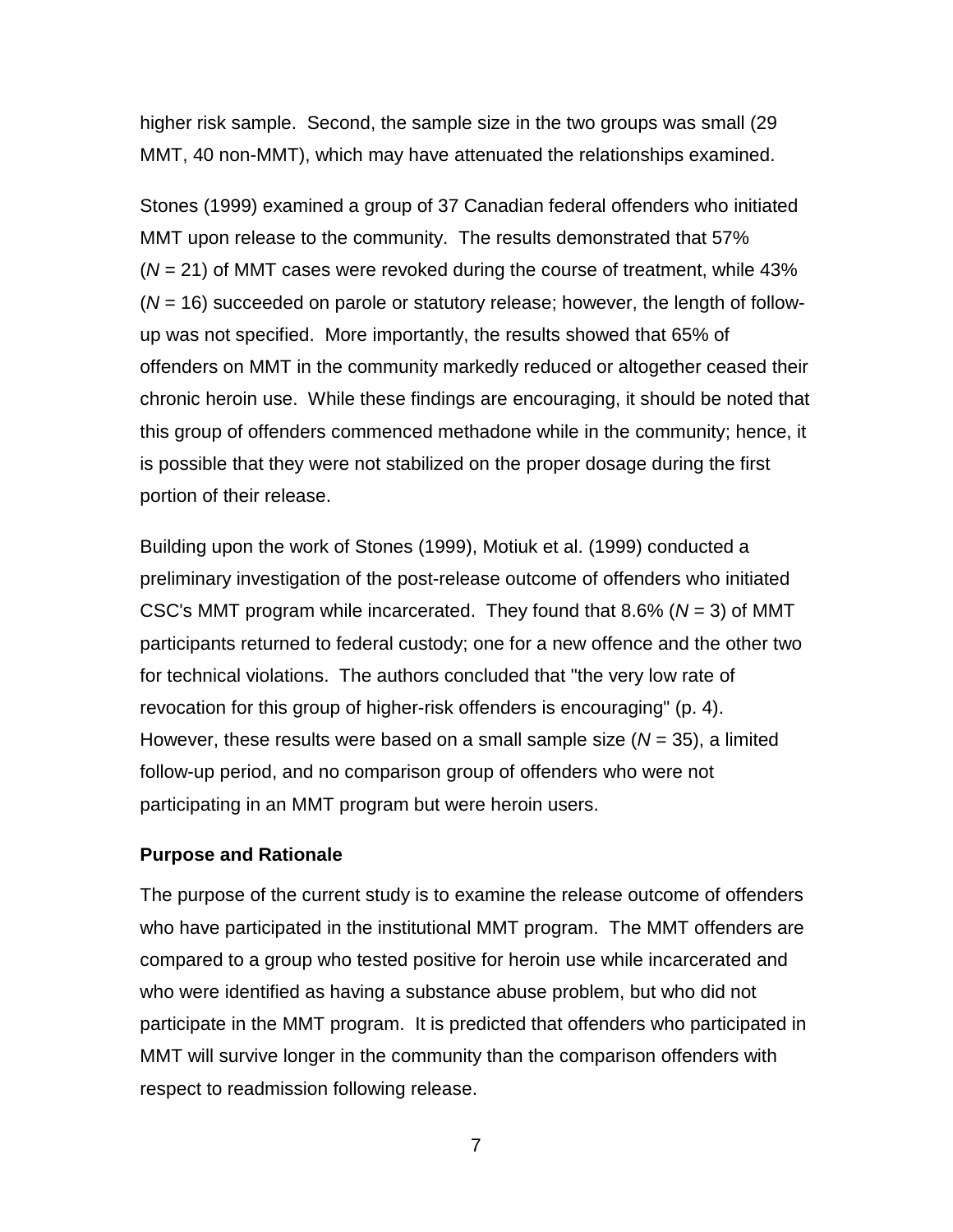<span id="page-13-0"></span>higher risk sample. Second, the sample size in the two groups was small (29 MMT, 40 non-MMT), which may have attenuated the relationships examined.

Stones (1999) examined a group of 37 Canadian federal offenders who initiated MMT upon release to the community. The results demonstrated that 57% (*N* = 21) of MMT cases were revoked during the course of treatment, while 43% (*N* = 16) succeeded on parole or statutory release; however, the length of followup was not specified. More importantly, the results showed that 65% of offenders on MMT in the community markedly reduced or altogether ceased their chronic heroin use. While these findings are encouraging, it should be noted that this group of offenders commenced methadone while in the community; hence, it is possible that they were not stabilized on the proper dosage during the first portion of their release.

Building upon the work of Stones (1999), Motiuk et al. (1999) conducted a preliminary investigation of the post-release outcome of offenders who initiated CSC's MMT program while incarcerated. They found that 8.6% (*N* = 3) of MMT participants returned to federal custody; one for a new offence and the other two for technical violations. The authors concluded that "the very low rate of revocation for this group of higher-risk offenders is encouraging" (p. 4). However, these results were based on a small sample size (*N* = 35), a limited follow-up period, and no comparison group of offenders who were not participating in an MMT program but were heroin users.

#### **Purpose and Rationale**

The purpose of the current study is to examine the release outcome of offenders who have participated in the institutional MMT program. The MMT offenders are compared to a group who tested positive for heroin use while incarcerated and who were identified as having a substance abuse problem, but who did not participate in the MMT program. It is predicted that offenders who participated in MMT will survive longer in the community than the comparison offenders with respect to readmission following release.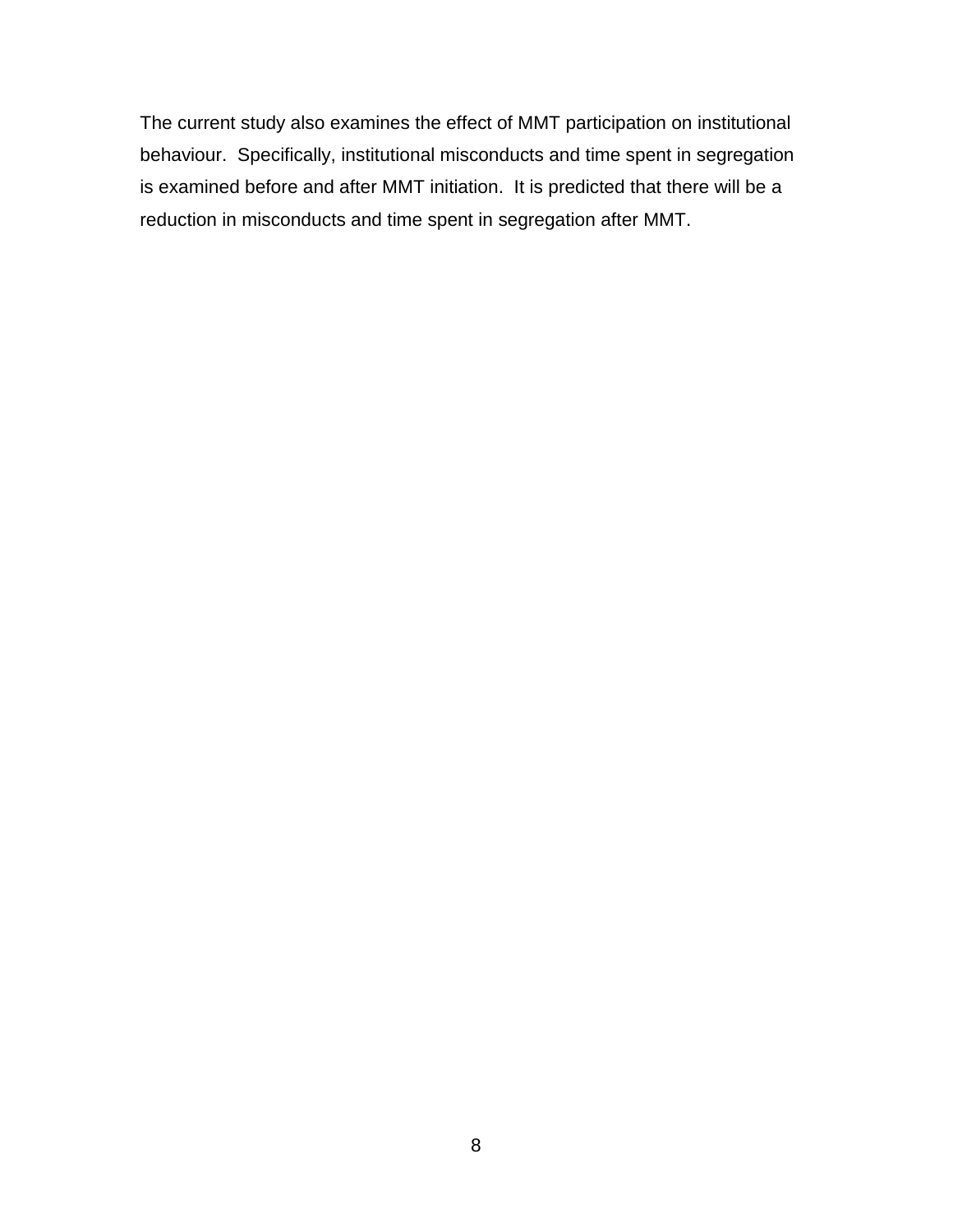The current study also examines the effect of MMT participation on institutional behaviour. Specifically, institutional misconducts and time spent in segregation is examined before and after MMT initiation. It is predicted that there will be a reduction in misconducts and time spent in segregation after MMT.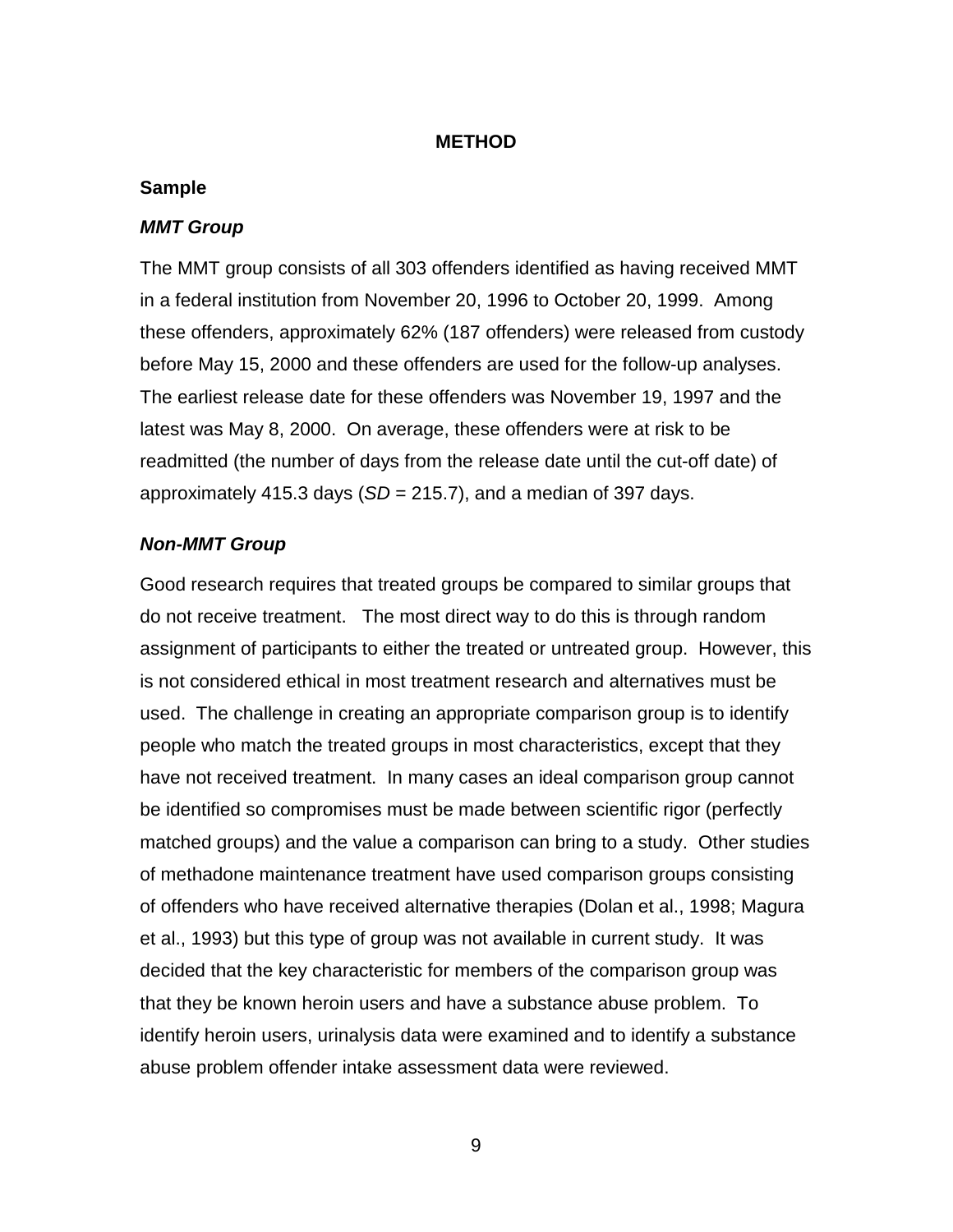#### **METHOD**

#### <span id="page-15-0"></span>**Sample**

#### *MMT Group*

The MMT group consists of all 303 offenders identified as having received MMT in a federal institution from November 20, 1996 to October 20, 1999. Among these offenders, approximately 62% (187 offenders) were released from custody before May 15, 2000 and these offenders are used for the follow-up analyses. The earliest release date for these offenders was November 19, 1997 and the latest was May 8, 2000. On average, these offenders were at risk to be readmitted (the number of days from the release date until the cut-off date) of approximately 415.3 days (*SD* = 215.7), and a median of 397 days.

#### *Non-MMT Group*

Good research requires that treated groups be compared to similar groups that do not receive treatment. The most direct way to do this is through random assignment of participants to either the treated or untreated group. However, this is not considered ethical in most treatment research and alternatives must be used. The challenge in creating an appropriate comparison group is to identify people who match the treated groups in most characteristics, except that they have not received treatment. In many cases an ideal comparison group cannot be identified so compromises must be made between scientific rigor (perfectly matched groups) and the value a comparison can bring to a study. Other studies of methadone maintenance treatment have used comparison groups consisting of offenders who have received alternative therapies (Dolan et al., 1998; Magura et al., 1993) but this type of group was not available in current study. It was decided that the key characteristic for members of the comparison group was that they be known heroin users and have a substance abuse problem. To identify heroin users, urinalysis data were examined and to identify a substance abuse problem offender intake assessment data were reviewed.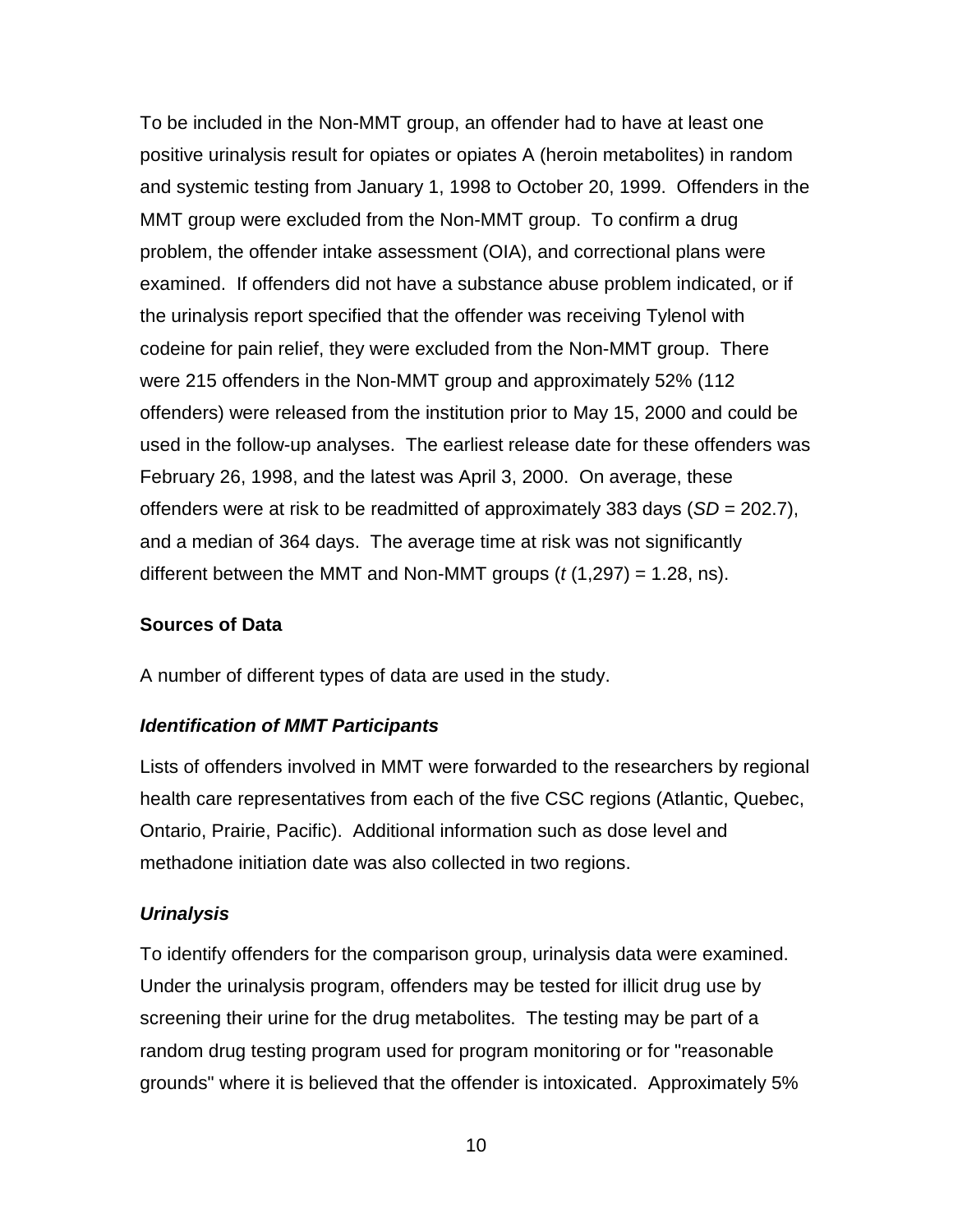<span id="page-16-0"></span>To be included in the Non-MMT group, an offender had to have at least one positive urinalysis result for opiates or opiates A (heroin metabolites) in random and systemic testing from January 1, 1998 to October 20, 1999. Offenders in the MMT group were excluded from the Non-MMT group. To confirm a drug problem, the offender intake assessment (OIA), and correctional plans were examined. If offenders did not have a substance abuse problem indicated, or if the urinalysis report specified that the offender was receiving Tylenol with codeine for pain relief, they were excluded from the Non-MMT group. There were 215 offenders in the Non-MMT group and approximately 52% (112 offenders) were released from the institution prior to May 15, 2000 and could be used in the follow-up analyses. The earliest release date for these offenders was February 26, 1998, and the latest was April 3, 2000. On average, these offenders were at risk to be readmitted of approximately 383 days (*SD* = 202.7), and a median of 364 days. The average time at risk was not significantly different between the MMT and Non-MMT groups (*t* (1,297) = 1.28, ns).

# **Sources of Data**

A number of different types of data are used in the study.

# *Identification of MMT Participants*

Lists of offenders involved in MMT were forwarded to the researchers by regional health care representatives from each of the five CSC regions (Atlantic, Quebec, Ontario, Prairie, Pacific). Additional information such as dose level and methadone initiation date was also collected in two regions.

# *Urinalysis*

To identify offenders for the comparison group, urinalysis data were examined. Under the urinalysis program, offenders may be tested for illicit drug use by screening their urine for the drug metabolites. The testing may be part of a random drug testing program used for program monitoring or for "reasonable grounds" where it is believed that the offender is intoxicated. Approximately 5%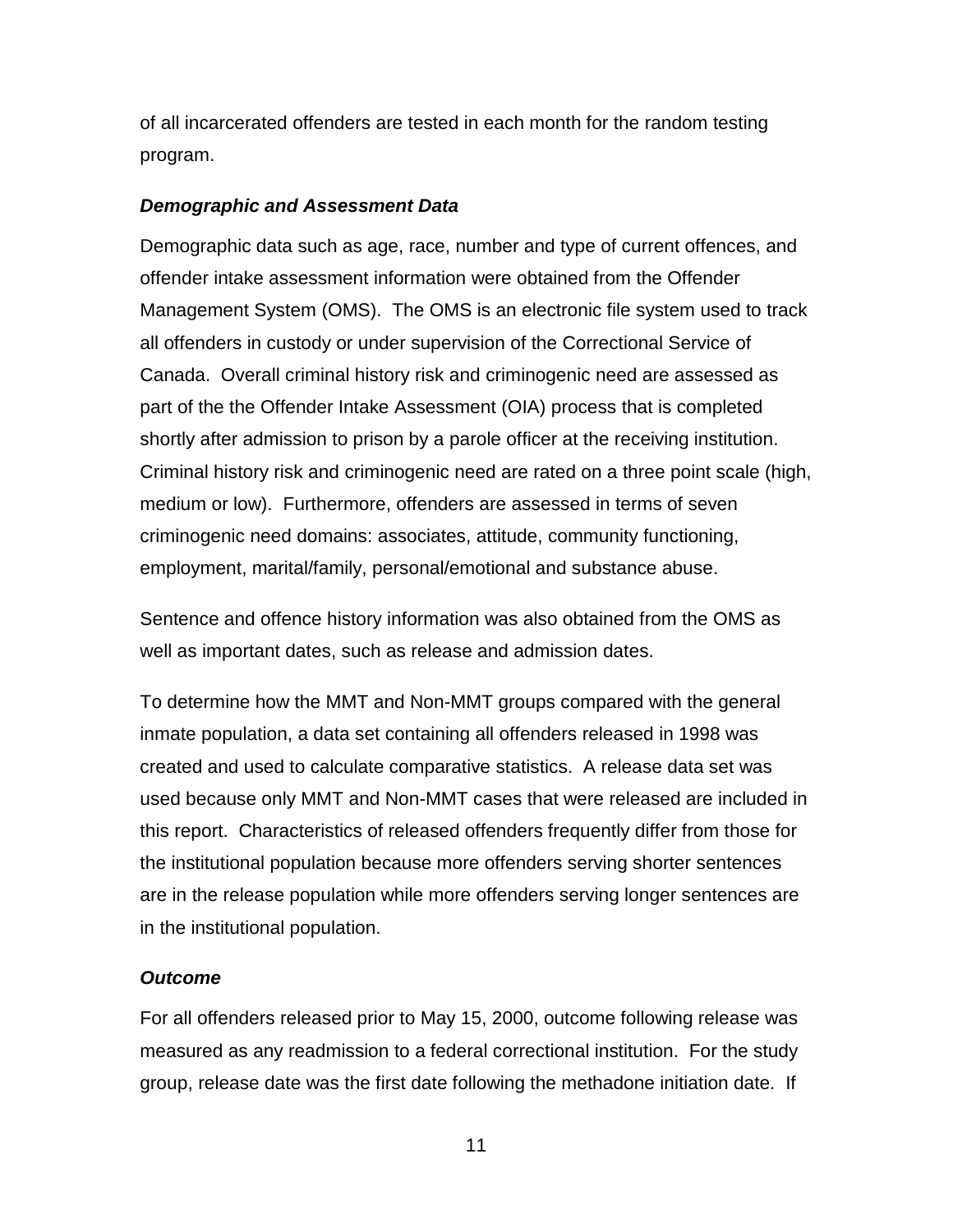<span id="page-17-0"></span>of all incarcerated offenders are tested in each month for the random testing program.

# *Demographic and Assessment Data*

Demographic data such as age, race, number and type of current offences, and offender intake assessment information were obtained from the Offender Management System (OMS). The OMS is an electronic file system used to track all offenders in custody or under supervision of the Correctional Service of Canada. Overall criminal history risk and criminogenic need are assessed as part of the the Offender Intake Assessment (OIA) process that is completed shortly after admission to prison by a parole officer at the receiving institution. Criminal history risk and criminogenic need are rated on a three point scale (high, medium or low). Furthermore, offenders are assessed in terms of seven criminogenic need domains: associates, attitude, community functioning, employment, marital/family, personal/emotional and substance abuse.

Sentence and offence history information was also obtained from the OMS as well as important dates, such as release and admission dates.

To determine how the MMT and Non-MMT groups compared with the general inmate population, a data set containing all offenders released in 1998 was created and used to calculate comparative statistics. A release data set was used because only MMT and Non-MMT cases that were released are included in this report. Characteristics of released offenders frequently differ from those for the institutional population because more offenders serving shorter sentences are in the release population while more offenders serving longer sentences are in the institutional population.

# *Outcome*

For all offenders released prior to May 15, 2000, outcome following release was measured as any readmission to a federal correctional institution. For the study group, release date was the first date following the methadone initiation date. If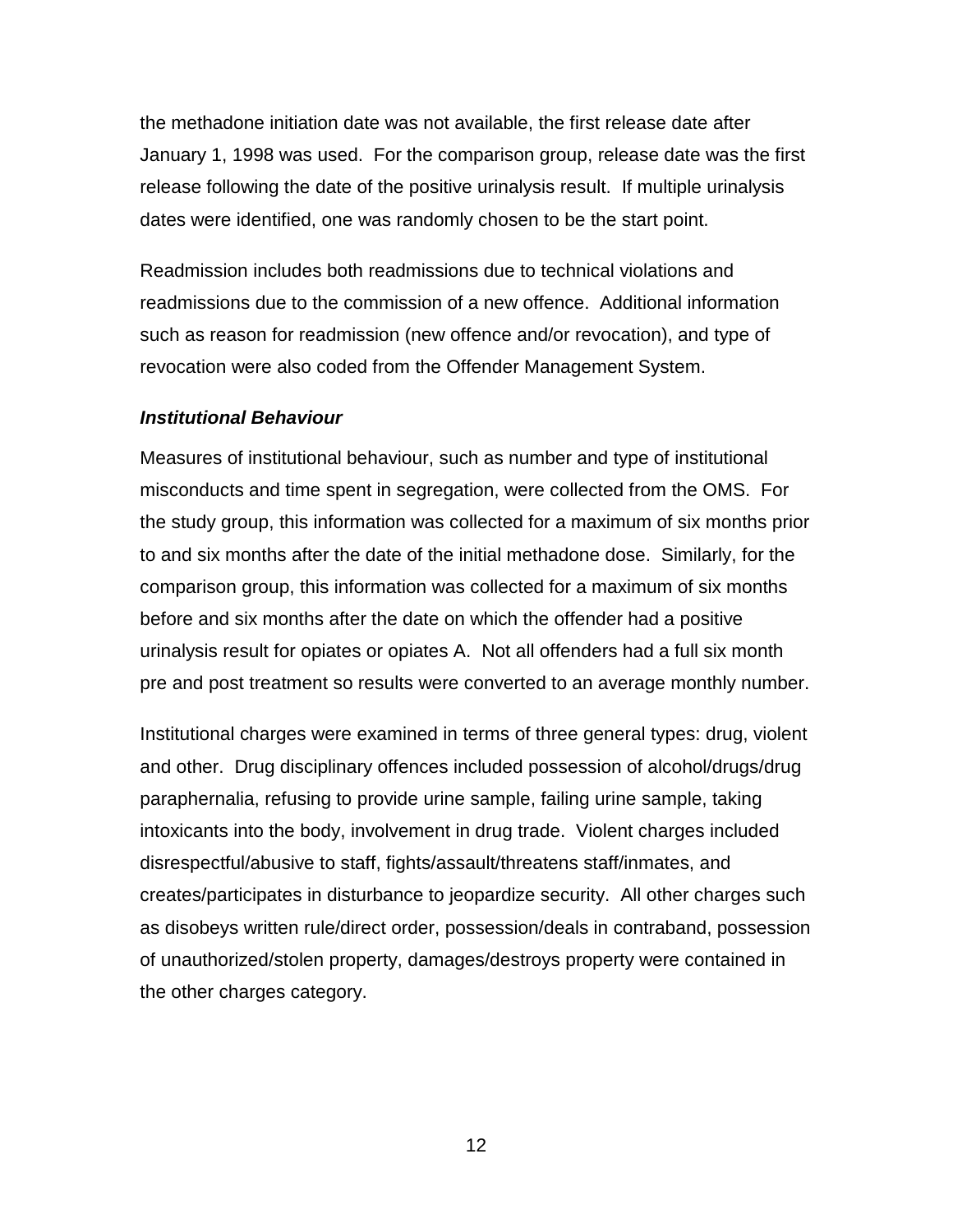<span id="page-18-0"></span>the methadone initiation date was not available, the first release date after January 1, 1998 was used. For the comparison group, release date was the first release following the date of the positive urinalysis result. If multiple urinalysis dates were identified, one was randomly chosen to be the start point.

Readmission includes both readmissions due to technical violations and readmissions due to the commission of a new offence. Additional information such as reason for readmission (new offence and/or revocation), and type of revocation were also coded from the Offender Management System.

#### *Institutional Behaviour*

Measures of institutional behaviour, such as number and type of institutional misconducts and time spent in segregation, were collected from the OMS. For the study group, this information was collected for a maximum of six months prior to and six months after the date of the initial methadone dose. Similarly, for the comparison group, this information was collected for a maximum of six months before and six months after the date on which the offender had a positive urinalysis result for opiates or opiates A. Not all offenders had a full six month pre and post treatment so results were converted to an average monthly number.

Institutional charges were examined in terms of three general types: drug, violent and other. Drug disciplinary offences included possession of alcohol/drugs/drug paraphernalia, refusing to provide urine sample, failing urine sample, taking intoxicants into the body, involvement in drug trade. Violent charges included disrespectful/abusive to staff, fights/assault/threatens staff/inmates, and creates/participates in disturbance to jeopardize security. All other charges such as disobeys written rule/direct order, possession/deals in contraband, possession of unauthorized/stolen property, damages/destroys property were contained in the other charges category.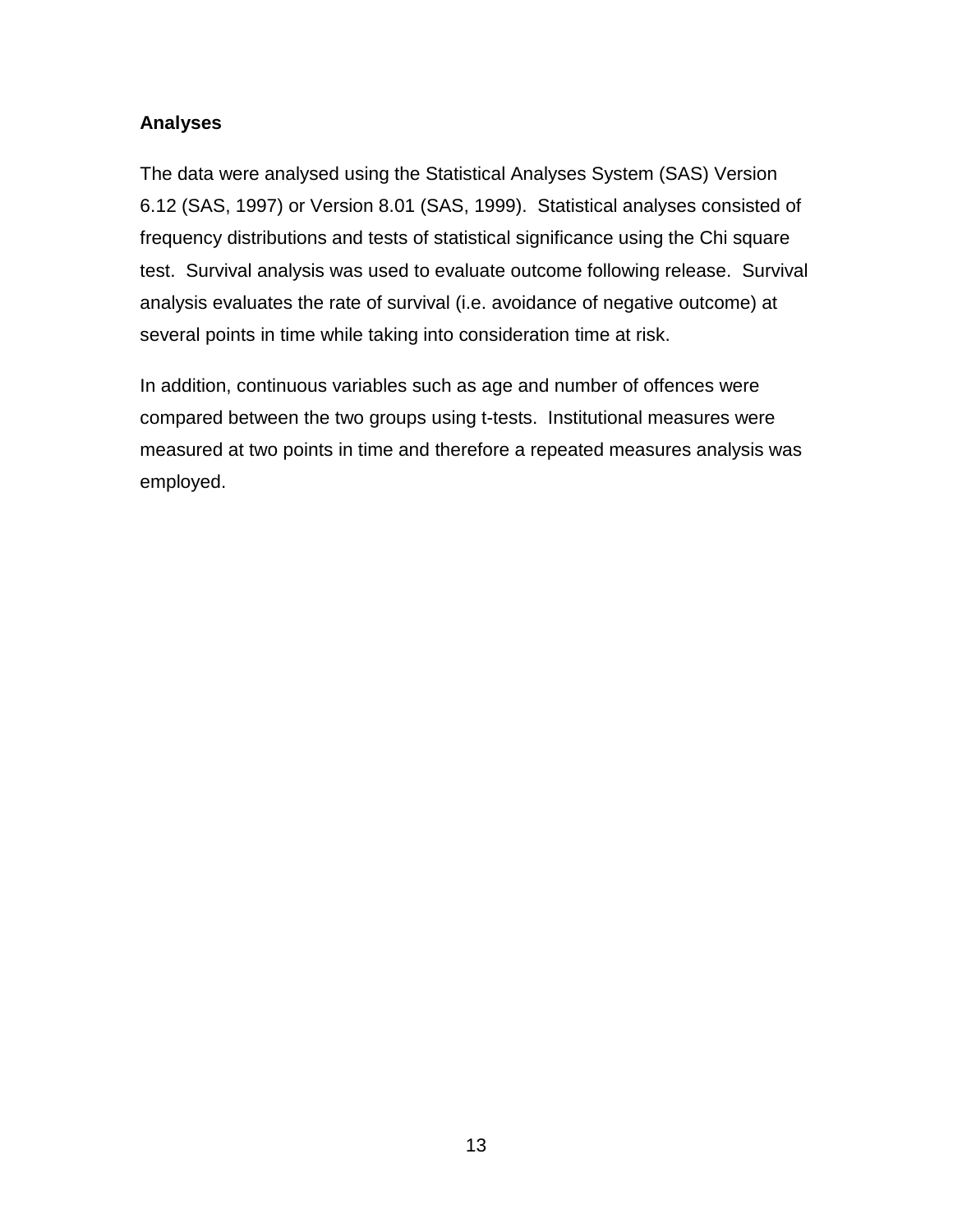# <span id="page-19-0"></span>**Analyses**

The data were analysed using the Statistical Analyses System (SAS) Version 6.12 (SAS, 1997) or Version 8.01 (SAS, 1999). Statistical analyses consisted of frequency distributions and tests of statistical significance using the Chi square test. Survival analysis was used to evaluate outcome following release. Survival analysis evaluates the rate of survival (i.e. avoidance of negative outcome) at several points in time while taking into consideration time at risk.

In addition, continuous variables such as age and number of offences were compared between the two groups using t-tests. Institutional measures were measured at two points in time and therefore a repeated measures analysis was employed.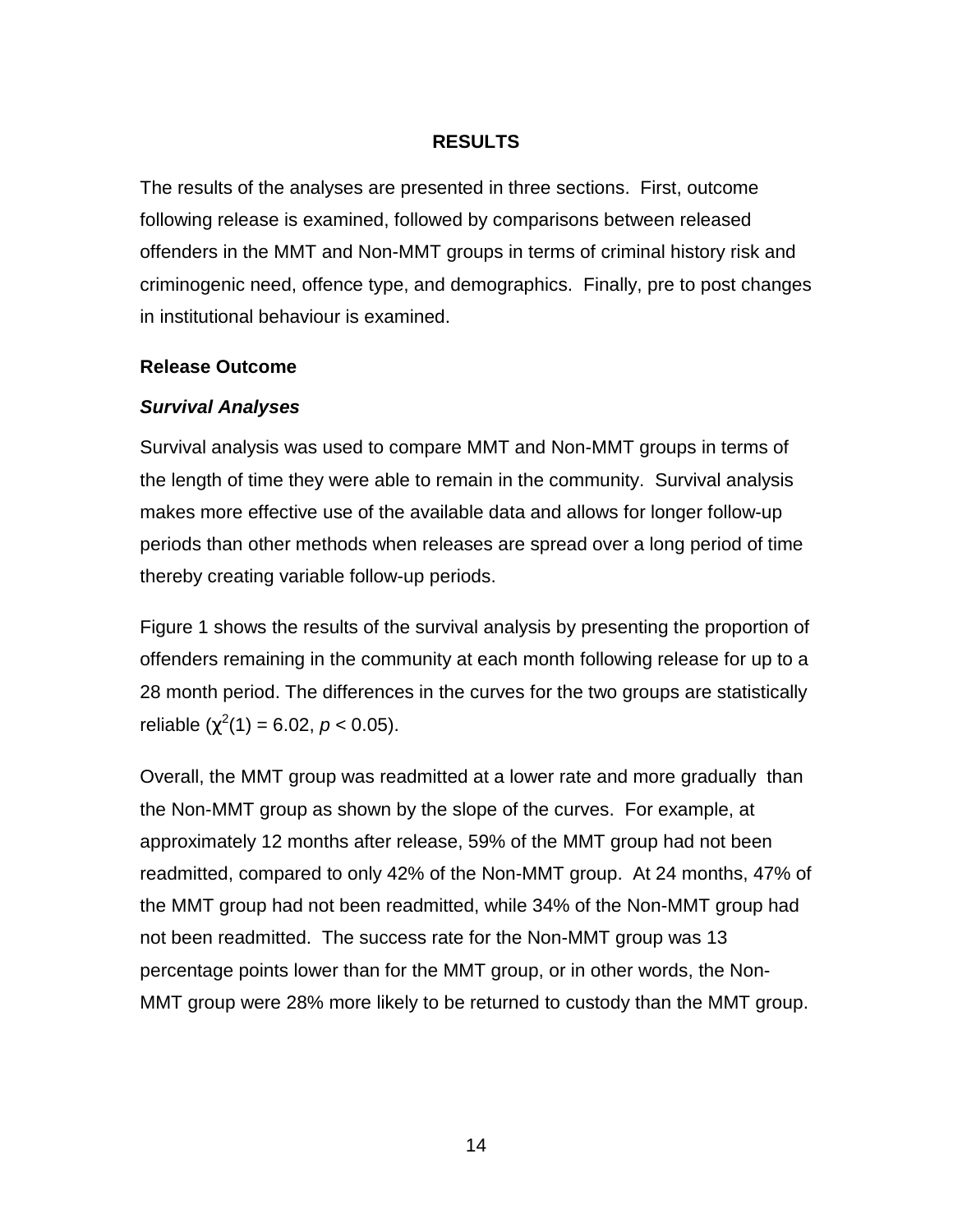# **RESULTS**

<span id="page-20-0"></span>The results of the analyses are presented in three sections. First, outcome following release is examined, followed by comparisons between released offenders in the MMT and Non-MMT groups in terms of criminal history risk and criminogenic need, offence type, and demographics. Finally, pre to post changes in institutional behaviour is examined.

#### **Release Outcome**

# *Survival Analyses*

Survival analysis was used to compare MMT and Non-MMT groups in terms of the length of time they were able to remain in the community. Survival analysis makes more effective use of the available data and allows for longer follow-up periods than other methods when releases are spread over a long period of time thereby creating variable follow-up periods.

Figure 1 shows the results of the survival analysis by presenting the proportion of offenders remaining in the community at each month following release for up to a 28 month period. The differences in the curves for the two groups are statistically reliable  $(\chi^2(1) = 6.02, p < 0.05)$ .

Overall, the MMT group was readmitted at a lower rate and more gradually than the Non-MMT group as shown by the slope of the curves. For example, at approximately 12 months after release, 59% of the MMT group had not been readmitted, compared to only 42% of the Non-MMT group. At 24 months, 47% of the MMT group had not been readmitted, while 34% of the Non-MMT group had not been readmitted. The success rate for the Non-MMT group was 13 percentage points lower than for the MMT group, or in other words, the Non-MMT group were 28% more likely to be returned to custody than the MMT group.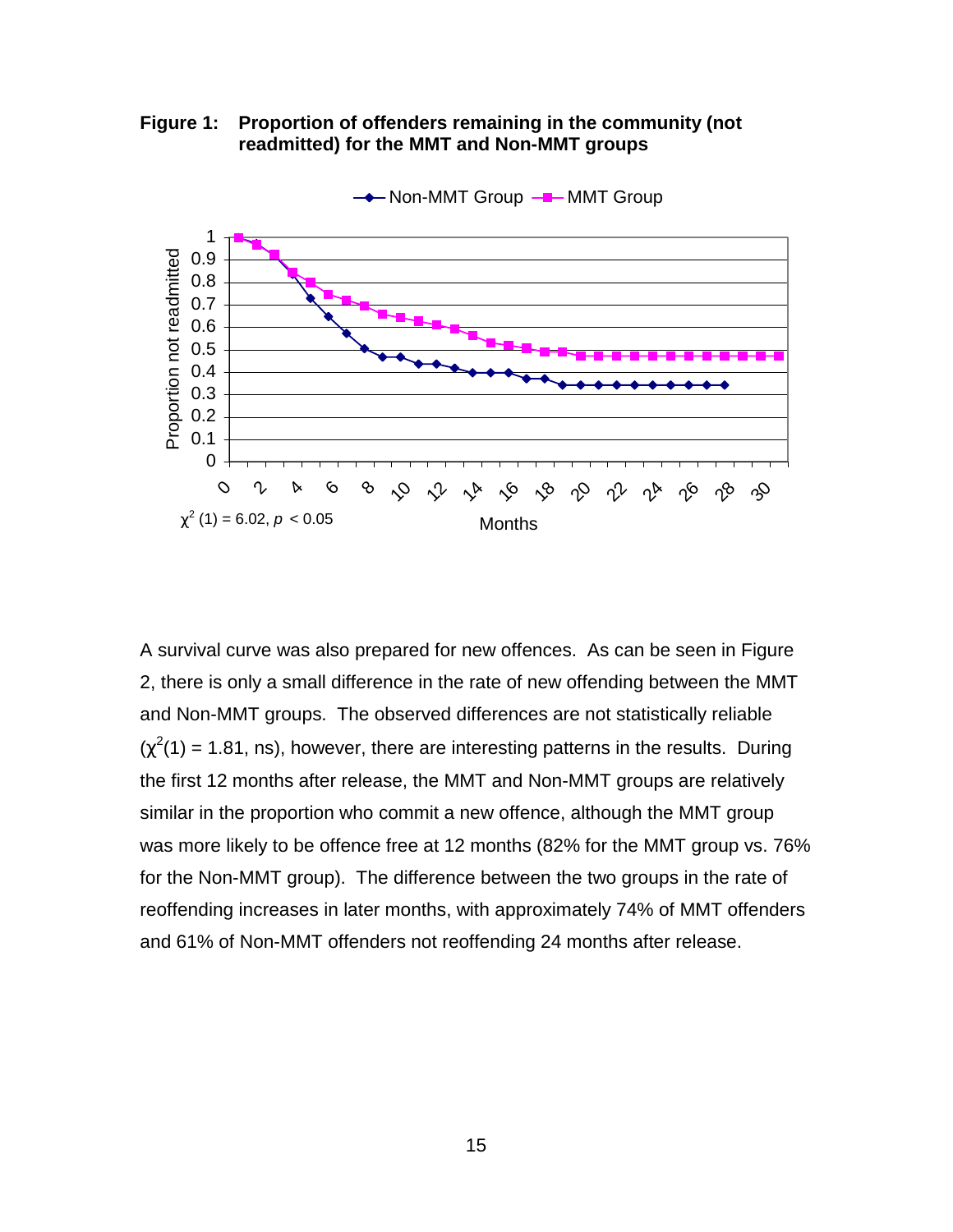<span id="page-21-0"></span>**Figure 1: Proportion of offenders remaining in the community (not readmitted) for the MMT and Non-MMT groups**



A survival curve was also prepared for new offences. As can be seen in Figure 2, there is only a small difference in the rate of new offending between the MMT and Non-MMT groups. The observed differences are not statistically reliable  $(\chi^2(1) = 1.81$ , ns), however, there are interesting patterns in the results. During the first 12 months after release, the MMT and Non-MMT groups are relatively similar in the proportion who commit a new offence, although the MMT group was more likely to be offence free at 12 months (82% for the MMT group vs. 76% for the Non-MMT group). The difference between the two groups in the rate of reoffending increases in later months, with approximately 74% of MMT offenders and 61% of Non-MMT offenders not reoffending 24 months after release.

15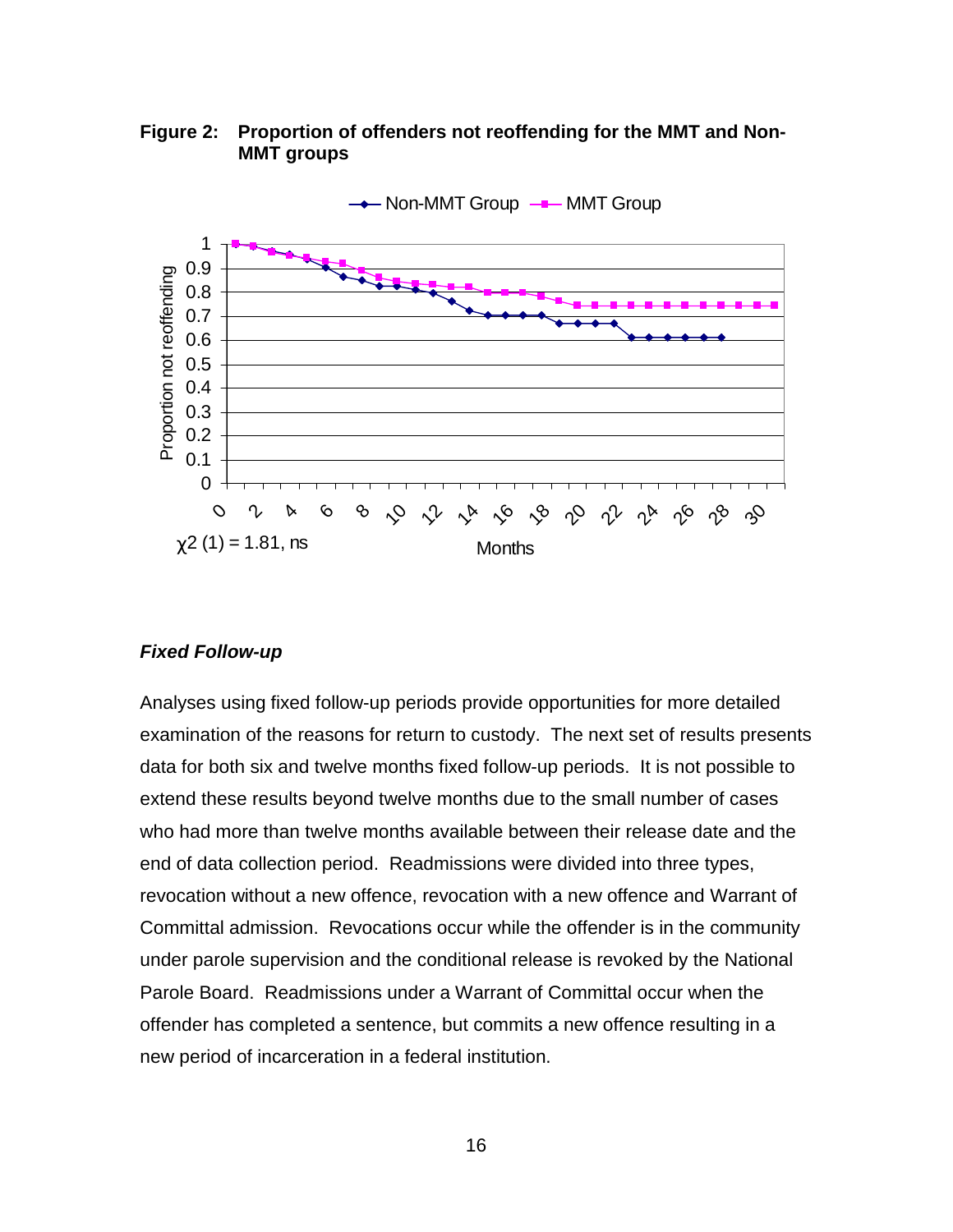<span id="page-22-0"></span>**Figure 2: Proportion of offenders not reoffending for the MMT and Non-MMT groups**



#### *Fixed Follow-up*

Analyses using fixed follow-up periods provide opportunities for more detailed examination of the reasons for return to custody. The next set of results presents data for both six and twelve months fixed follow-up periods. It is not possible to extend these results beyond twelve months due to the small number of cases who had more than twelve months available between their release date and the end of data collection period. Readmissions were divided into three types, revocation without a new offence, revocation with a new offence and Warrant of Committal admission. Revocations occur while the offender is in the community under parole supervision and the conditional release is revoked by the National Parole Board. Readmissions under a Warrant of Committal occur when the offender has completed a sentence, but commits a new offence resulting in a new period of incarceration in a federal institution.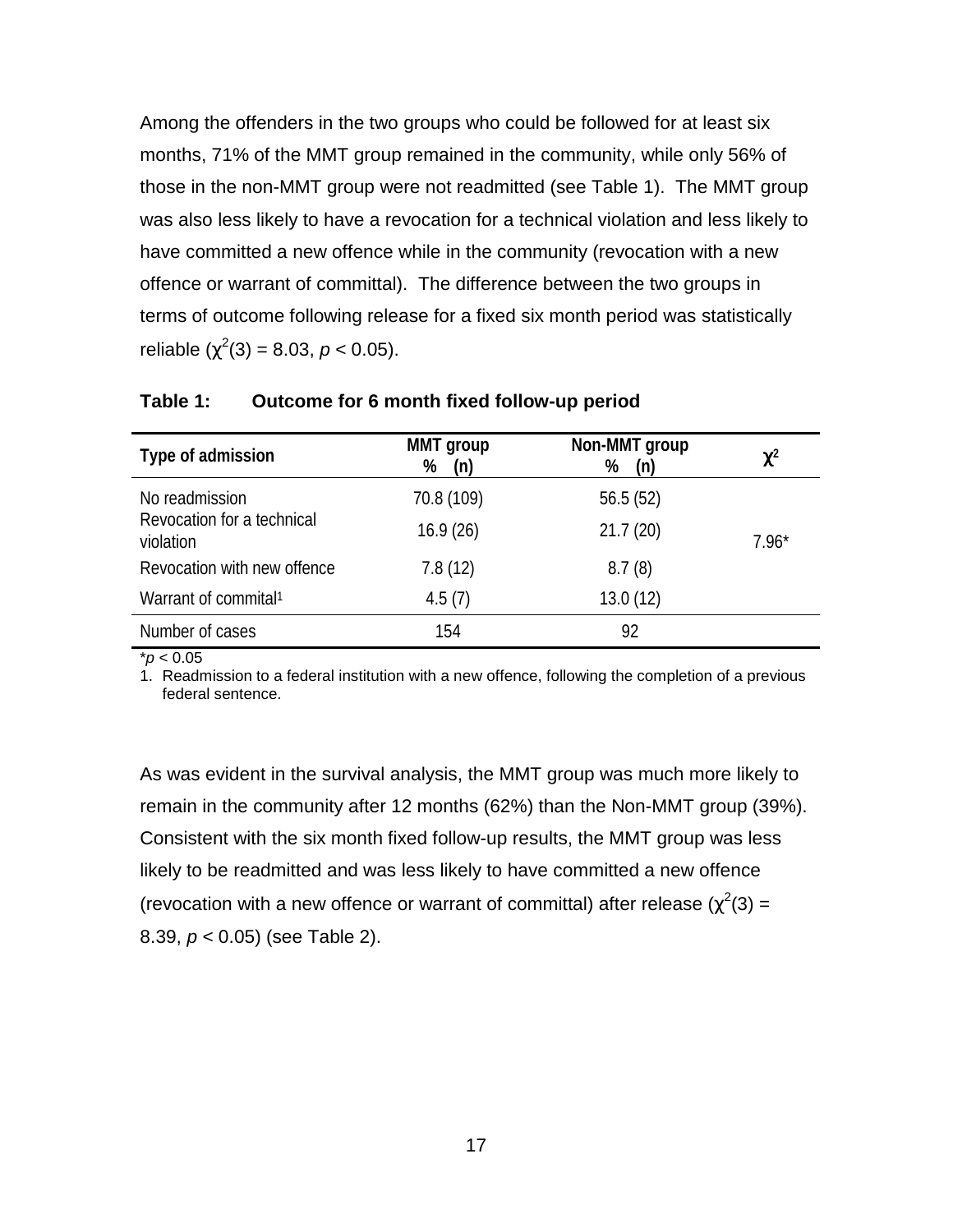<span id="page-23-0"></span>Among the offenders in the two groups who could be followed for at least six months, 71% of the MMT group remained in the community, while only 56% of those in the non-MMT group were not readmitted (see Table 1). The MMT group was also less likely to have a revocation for a technical violation and less likely to have committed a new offence while in the community (revocation with a new offence or warrant of committal). The difference between the two groups in terms of outcome following release for a fixed six month period was statistically reliable  $(\chi^2(3) = 8.03, p < 0.05)$ .

| Type of admission                       | <b>MMT</b> group<br>(n)<br>% | Non-MMT group<br>%<br>(n) | $\chi^2$ |
|-----------------------------------------|------------------------------|---------------------------|----------|
| No readmission                          | 70.8 (109)                   | 56.5(52)                  |          |
| Revocation for a technical<br>violation | 16.9(26)                     | 21.7(20)                  | $7.96*$  |
| Revocation with new offence             | 7.8(12)                      | 8.7(8)                    |          |
| Warrant of commital <sup>1</sup>        | 4.5(7)                       | 13.0(12)                  |          |
| Number of cases                         | 154                          | 92                        |          |

**Table 1: Outcome for 6 month fixed follow-up period**

\**p* < 0.05

1. Readmission to a federal institution with a new offence, following the completion of a previous federal sentence.

As was evident in the survival analysis, the MMT group was much more likely to remain in the community after 12 months (62%) than the Non-MMT group (39%). Consistent with the six month fixed follow-up results, the MMT group was less likely to be readmitted and was less likely to have committed a new offence (revocation with a new offence or warrant of committal) after release ( $\chi^2(3)$  = 8.39, *p* < 0.05) (see Table 2).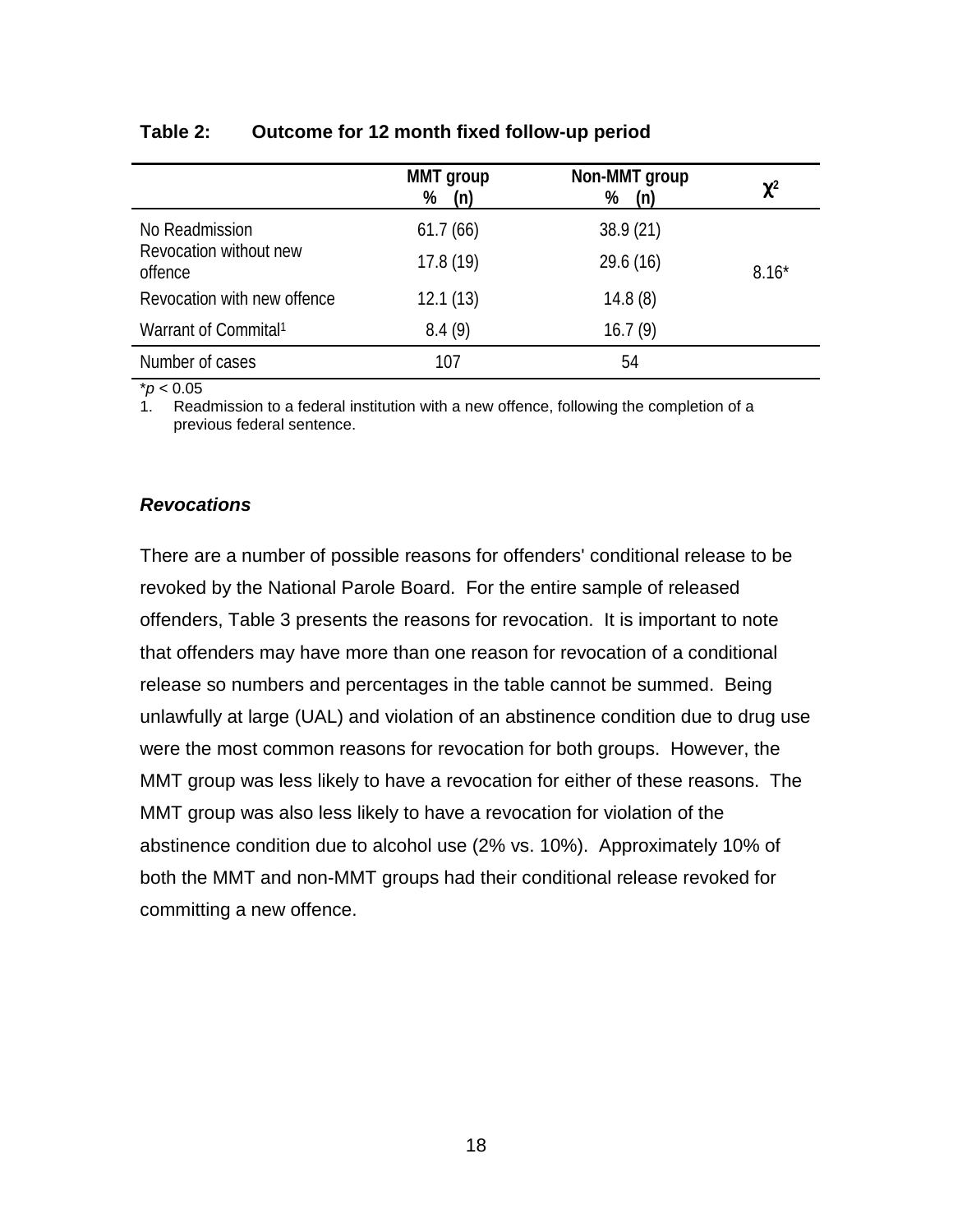|                                   | <b>MMT</b> group<br>%<br>(n) | Non-MMT group<br>%<br>(n) | $\chi^2$ |
|-----------------------------------|------------------------------|---------------------------|----------|
| No Readmission                    | 61.7(66)                     | 38.9(21)                  |          |
| Revocation without new<br>offence | 17.8(19)                     | 29.6 (16)                 | $8.16*$  |
| Revocation with new offence       | 12.1(13)                     | 14.8(8)                   |          |
| Warrant of Commital <sup>1</sup>  | 8.4(9)                       | 16.7(9)                   |          |
| Number of cases                   | 107                          | 54                        |          |

#### <span id="page-24-0"></span>**Table 2: Outcome for 12 month fixed follow-up period**

\**p* < 0.05

Readmission to a federal institution with a new offence, following the completion of a previous federal sentence.

#### *Revocations*

There are a number of possible reasons for offenders' conditional release to be revoked by the National Parole Board. For the entire sample of released offenders, Table 3 presents the reasons for revocation. It is important to note that offenders may have more than one reason for revocation of a conditional release so numbers and percentages in the table cannot be summed. Being unlawfully at large (UAL) and violation of an abstinence condition due to drug use were the most common reasons for revocation for both groups. However, the MMT group was less likely to have a revocation for either of these reasons. The MMT group was also less likely to have a revocation for violation of the abstinence condition due to alcohol use (2% vs. 10%). Approximately 10% of both the MMT and non-MMT groups had their conditional release revoked for committing a new offence.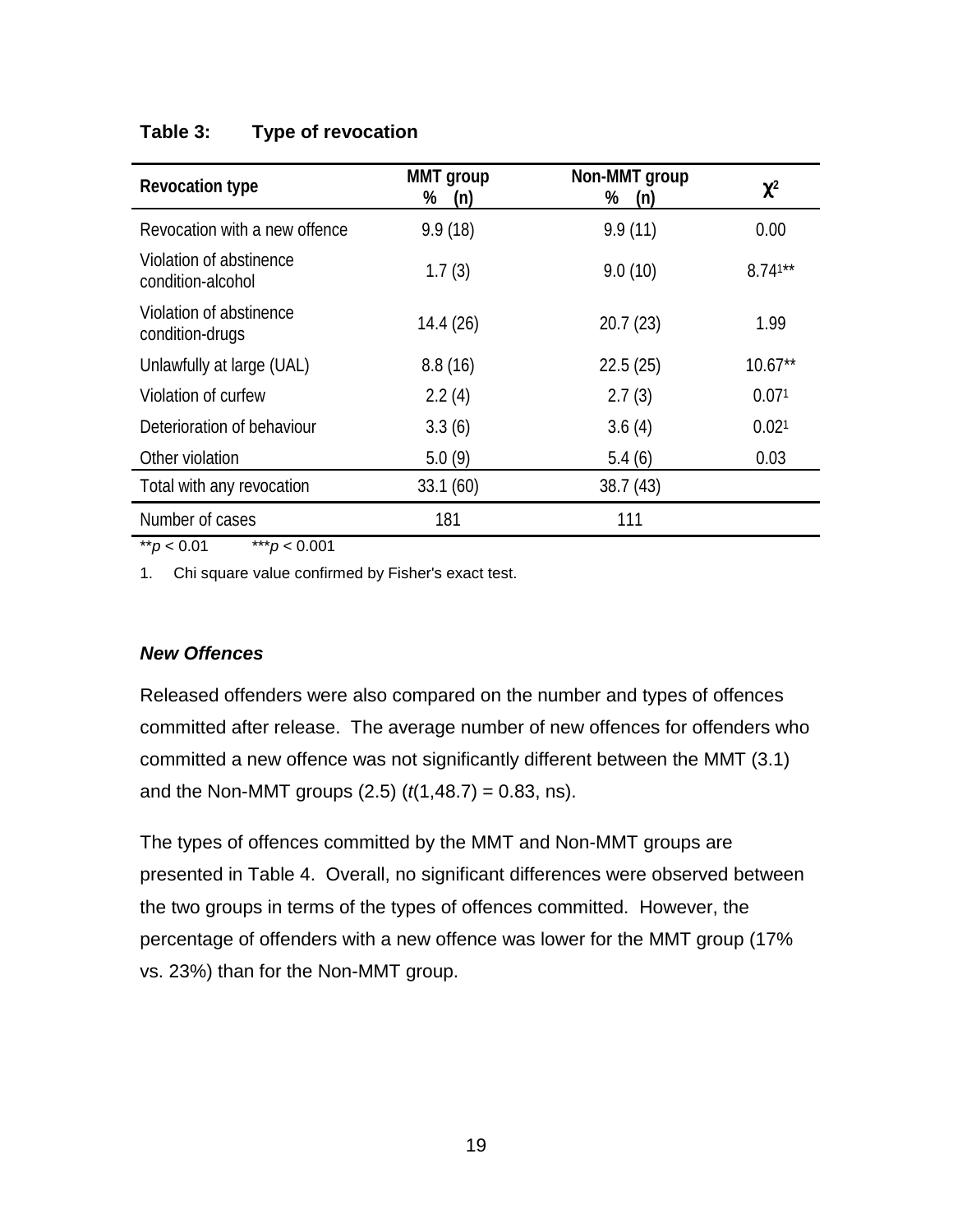# <span id="page-25-0"></span>**Table 3: Type of revocation**

| <b>Revocation type</b>                       | MMT group<br>%<br>(n) | Non-MMT group<br>%<br>(n) | $\chi^2$   |
|----------------------------------------------|-----------------------|---------------------------|------------|
| Revocation with a new offence                | 9.9(18)               | 9.9(11)                   | 0.00       |
| Violation of abstinence<br>condition-alcohol | 1.7(3)                | 9.0(10)                   | $8.741***$ |
| Violation of abstinence<br>condition-drugs   | 14.4 (26)             | 20.7(23)                  | 1.99       |
| Unlawfully at large (UAL)                    | 8.8(16)               | 22.5(25)                  | $10.67**$  |
| Violation of curfew                          | 2.2(4)                | 2.7(3)                    | 0.071      |
| Deterioration of behaviour                   | 3.3(6)                | 3.6(4)                    | 0.021      |
| Other violation                              | 5.0(9)                | 5.4(6)                    | 0.03       |
| Total with any revocation                    | 33.1(60)              | 38.7(43)                  |            |
| Number of cases                              | 181                   | 111                       |            |

\*\**p* < 0.01 \*\*\**p* < 0.001

1. Chi square value confirmed by Fisher's exact test.

# *New Offences*

Released offenders were also compared on the number and types of offences committed after release. The average number of new offences for offenders who committed a new offence was not significantly different between the MMT (3.1) and the Non-MMT groups (2.5) (*t*(1,48.7) = 0.83, ns).

The types of offences committed by the MMT and Non-MMT groups are presented in Table 4. Overall, no significant differences were observed between the two groups in terms of the types of offences committed. However, the percentage of offenders with a new offence was lower for the MMT group (17% vs. 23%) than for the Non-MMT group.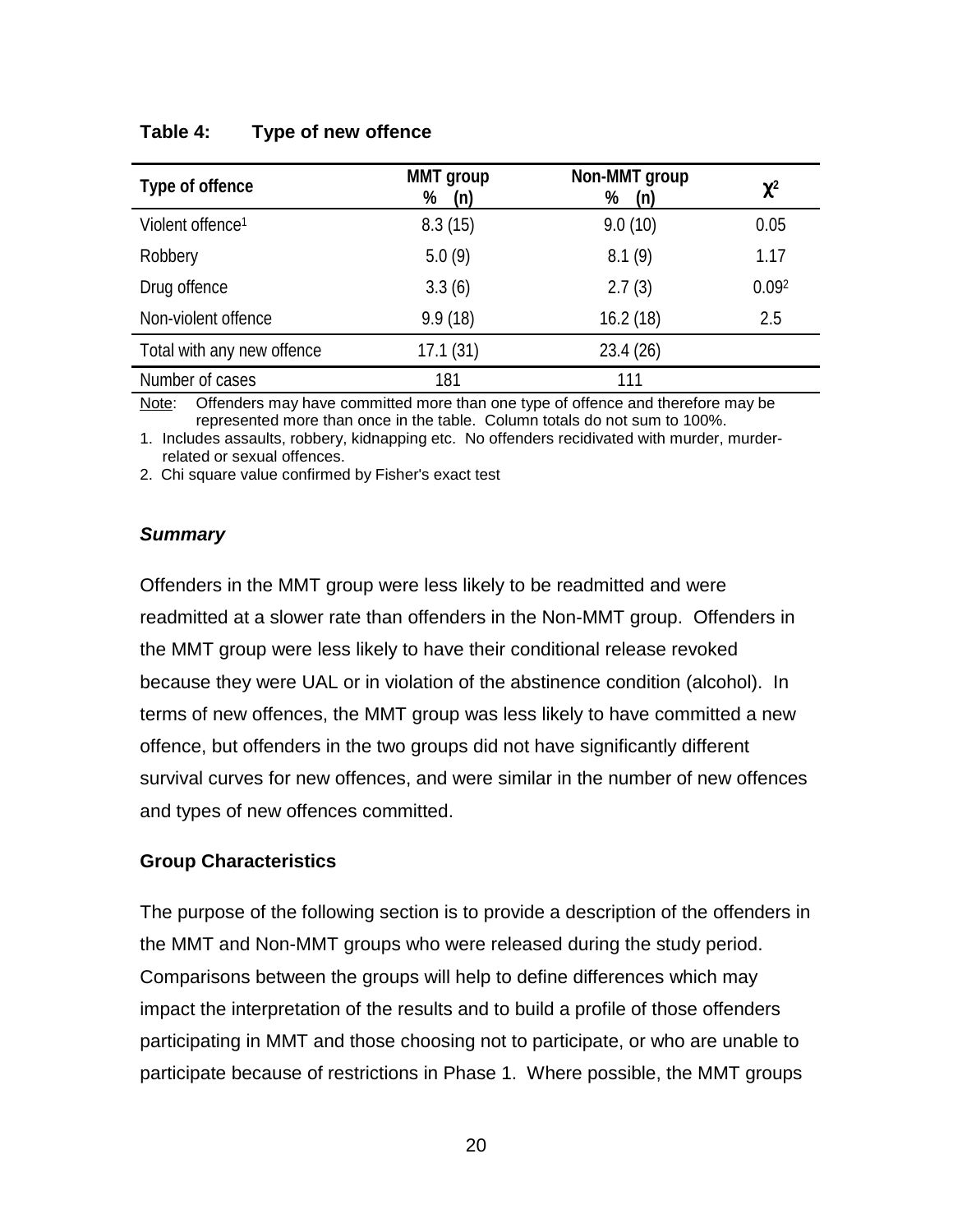| Type of offence              | <b>MMT</b> group<br>%<br>(n) | Non-MMT group<br>%<br>(n) | $\chi^2$ |
|------------------------------|------------------------------|---------------------------|----------|
| Violent offence <sup>1</sup> | 8.3(15)                      | 9.0(10)                   | 0.05     |
| Robbery                      | 5.0(9)                       | 8.1(9)                    | 1.17     |
| Drug offence                 | 3.3(6)                       | 2.7(3)                    | 0.092    |
| Non-violent offence          | 9.9(18)                      | 16.2(18)                  | 2.5      |
| Total with any new offence   | 17.1(31)                     | 23.4(26)                  |          |
| Number of cases              | 181                          | 111                       |          |

#### <span id="page-26-0"></span>**Table 4: Type of new offence**

Note: Offenders may have committed more than one type of offence and therefore may be represented more than once in the table. Column totals do not sum to 100%.

1. Includes assaults, robbery, kidnapping etc. No offenders recidivated with murder, murderrelated or sexual offences.

2. Chi square value confirmed by Fisher's exact test

#### *Summary*

Offenders in the MMT group were less likely to be readmitted and were readmitted at a slower rate than offenders in the Non-MMT group. Offenders in the MMT group were less likely to have their conditional release revoked because they were UAL or in violation of the abstinence condition (alcohol). In terms of new offences, the MMT group was less likely to have committed a new offence, but offenders in the two groups did not have significantly different survival curves for new offences, and were similar in the number of new offences and types of new offences committed.

#### **Group Characteristics**

The purpose of the following section is to provide a description of the offenders in the MMT and Non-MMT groups who were released during the study period. Comparisons between the groups will help to define differences which may impact the interpretation of the results and to build a profile of those offenders participating in MMT and those choosing not to participate, or who are unable to participate because of restrictions in Phase 1. Where possible, the MMT groups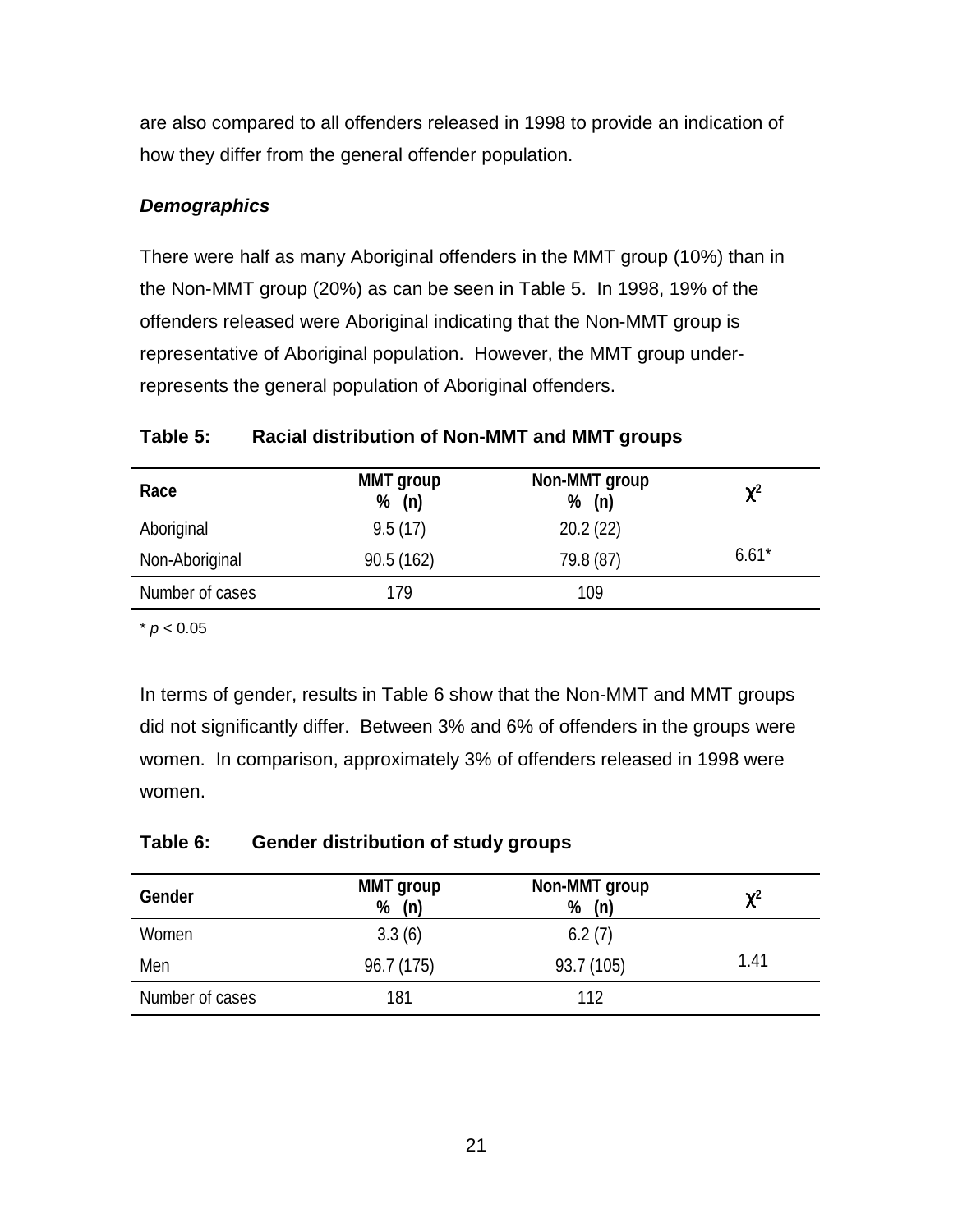<span id="page-27-0"></span>are also compared to all offenders released in 1998 to provide an indication of how they differ from the general offender population.

# *Demographics*

There were half as many Aboriginal offenders in the MMT group (10%) than in the Non-MMT group (20%) as can be seen in Table 5. In 1998, 19% of the offenders released were Aboriginal indicating that the Non-MMT group is representative of Aboriginal population. However, the MMT group underrepresents the general population of Aboriginal offenders.

# **Table 5: Racial distribution of Non-MMT and MMT groups**

| Race            | <b>MMT</b> group<br>(n)<br>% | Non-MMT group<br>%<br>(n) | $\chi^2$ |
|-----------------|------------------------------|---------------------------|----------|
| Aboriginal      | 9.5(17)                      | 20.2(22)                  |          |
| Non-Aboriginal  | 90.5(162)                    | 79.8 (87)                 | $6.61*$  |
| Number of cases | 179                          | 109                       |          |

 $*$   $p < 0.05$ 

In terms of gender, results in Table 6 show that the Non-MMT and MMT groups did not significantly differ. Between 3% and 6% of offenders in the groups were women. In comparison, approximately 3% of offenders released in 1998 were women.

# **Table 6: Gender distribution of study groups**

| Gender          | <b>MMT</b> group<br>$%$ (n) | Non-MMT group<br>%<br>(n) | $\chi^2$ |
|-----------------|-----------------------------|---------------------------|----------|
| Women           | 3.3(6)                      | 6.2(7)                    |          |
| Men             | 96.7 (175)                  | 93.7 (105)                | 1.41     |
| Number of cases | 181                         | 112                       |          |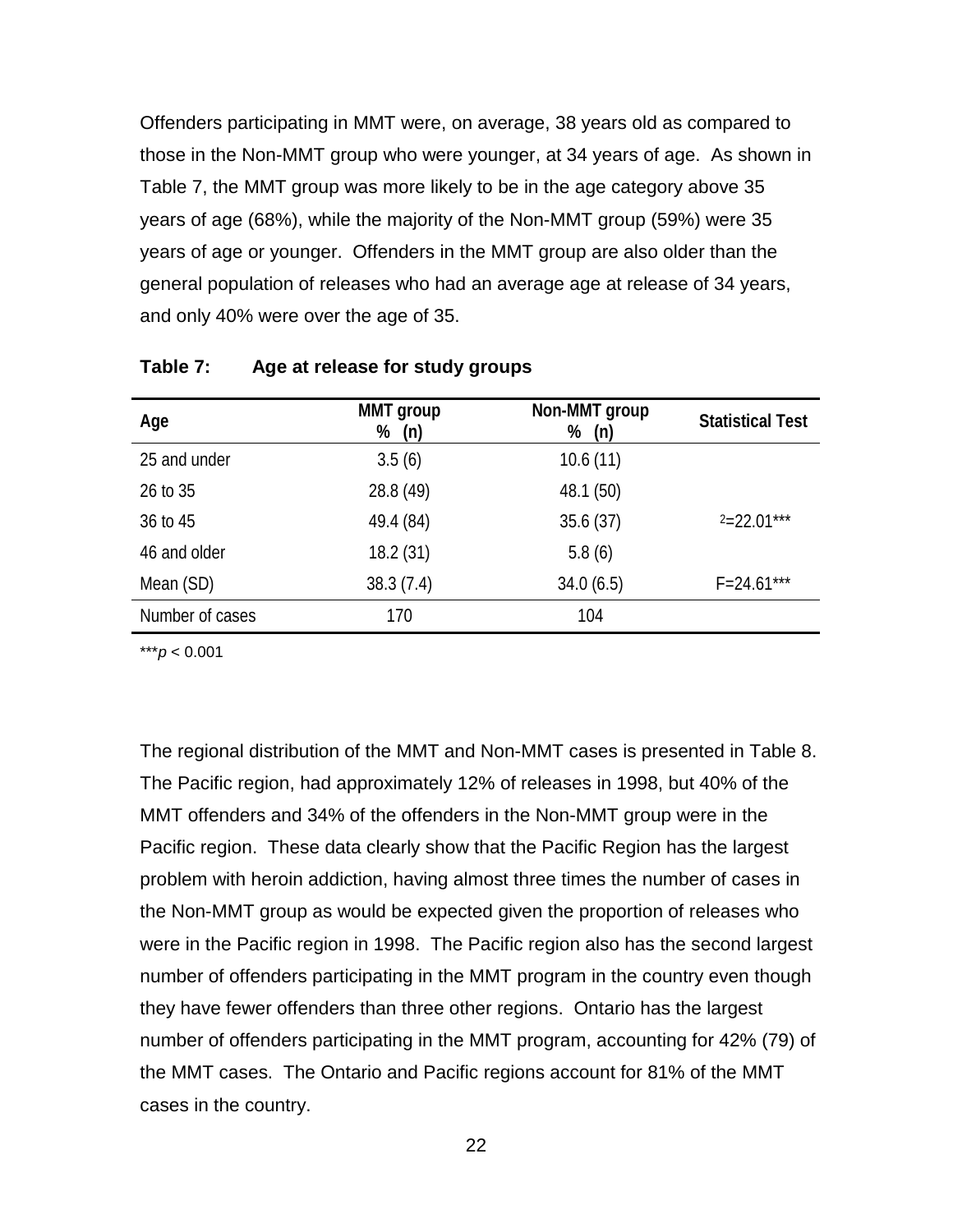<span id="page-28-0"></span>Offenders participating in MMT were, on average, 38 years old as compared to those in the Non-MMT group who were younger, at 34 years of age. As shown in Table 7, the MMT group was more likely to be in the age category above 35 years of age (68%), while the majority of the Non-MMT group (59%) were 35 years of age or younger. Offenders in the MMT group are also older than the general population of releases who had an average age at release of 34 years, and only 40% were over the age of 35.

| Age             | <b>MMT</b> group<br>(n)<br>% | Non-MMT group<br>%<br>(n) | <b>Statistical Test</b> |
|-----------------|------------------------------|---------------------------|-------------------------|
| 25 and under    | 3.5(6)                       | 10.6(11)                  |                         |
| 26 to 35        | 28.8 (49)                    | 48.1 (50)                 |                         |
| 36 to 45        | 49.4 (84)                    | 35.6(37)                  | $2=22.01***$            |
| 46 and older    | 18.2(31)                     | 5.8(6)                    |                         |
| Mean (SD)       | 38.3(7.4)                    | 34.0(6.5)                 | $F = 24.61***$          |
| Number of cases | 170                          | 104                       |                         |

#### **Table 7: Age at release for study groups**

\*\*\**p* < 0.001

The regional distribution of the MMT and Non-MMT cases is presented in Table 8. The Pacific region, had approximately 12% of releases in 1998, but 40% of the MMT offenders and 34% of the offenders in the Non-MMT group were in the Pacific region. These data clearly show that the Pacific Region has the largest problem with heroin addiction, having almost three times the number of cases in the Non-MMT group as would be expected given the proportion of releases who were in the Pacific region in 1998. The Pacific region also has the second largest number of offenders participating in the MMT program in the country even though they have fewer offenders than three other regions. Ontario has the largest number of offenders participating in the MMT program, accounting for 42% (79) of the MMT cases. The Ontario and Pacific regions account for 81% of the MMT cases in the country.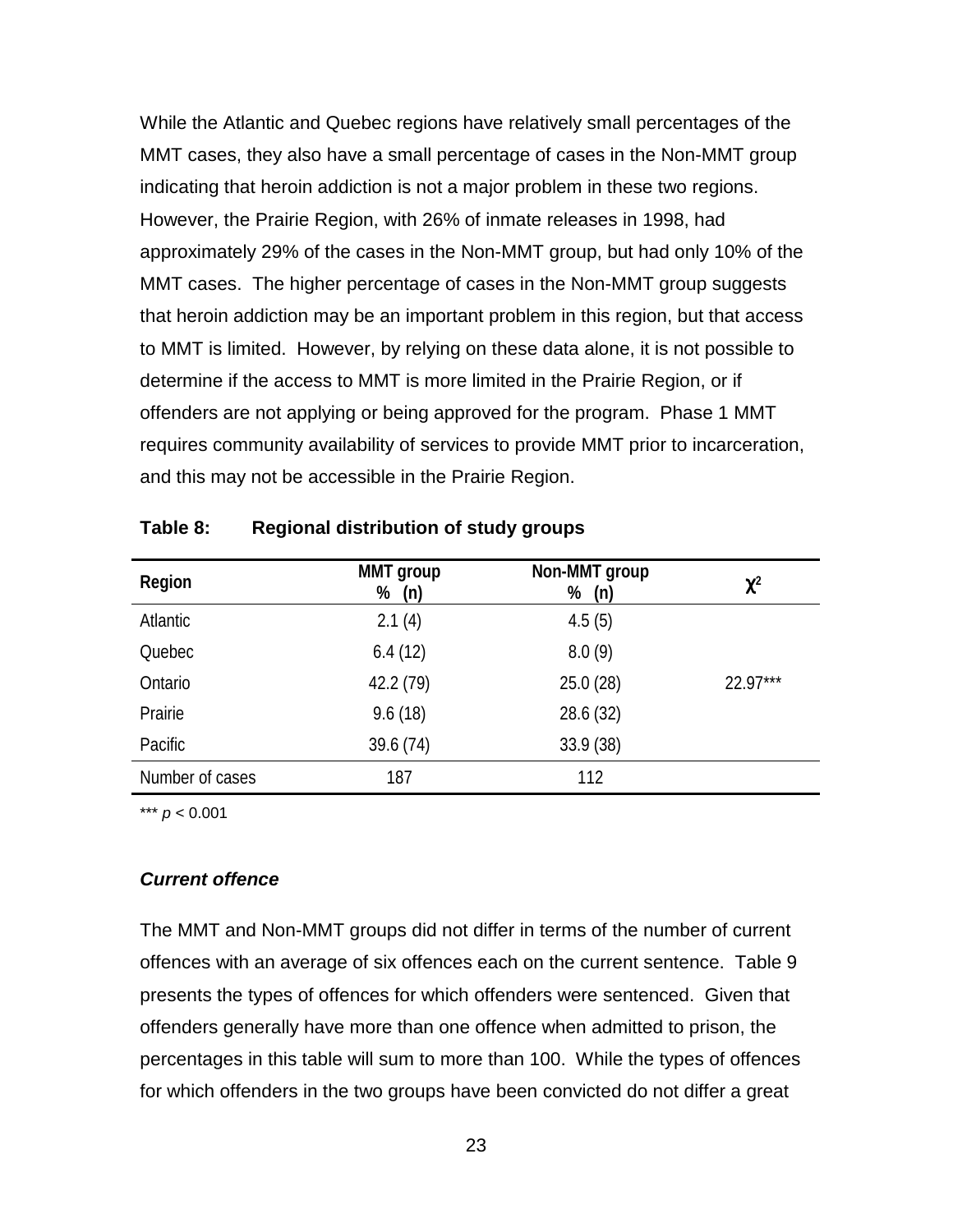<span id="page-29-0"></span>While the Atlantic and Quebec regions have relatively small percentages of the MMT cases, they also have a small percentage of cases in the Non-MMT group indicating that heroin addiction is not a major problem in these two regions. However, the Prairie Region, with 26% of inmate releases in 1998, had approximately 29% of the cases in the Non-MMT group, but had only 10% of the MMT cases. The higher percentage of cases in the Non-MMT group suggests that heroin addiction may be an important problem in this region, but that access to MMT is limited. However, by relying on these data alone, it is not possible to determine if the access to MMT is more limited in the Prairie Region, or if offenders are not applying or being approved for the program. Phase 1 MMT requires community availability of services to provide MMT prior to incarceration, and this may not be accessible in the Prairie Region.

| Region          | <b>MMT</b> group<br>% (n) | Non-MMT group<br>%<br>(n) | $\chi^2$   |
|-----------------|---------------------------|---------------------------|------------|
| Atlantic        | 2.1(4)                    | 4.5(5)                    |            |
| Quebec          | 6.4(12)                   | 8.0(9)                    |            |
| Ontario         | 42.2 (79)                 | 25.0(28)                  | $22.97***$ |
| Prairie         | 9.6(18)                   | 28.6 (32)                 |            |
| Pacific         | 39.6 (74)                 | 33.9(38)                  |            |
| Number of cases | 187                       | 112                       |            |

**Table 8: Regional distribution of study groups**

\*\*\* *p* < 0.001

#### *Current offence*

The MMT and Non-MMT groups did not differ in terms of the number of current offences with an average of six offences each on the current sentence. Table 9 presents the types of offences for which offenders were sentenced. Given that offenders generally have more than one offence when admitted to prison, the percentages in this table will sum to more than 100. While the types of offences for which offenders in the two groups have been convicted do not differ a great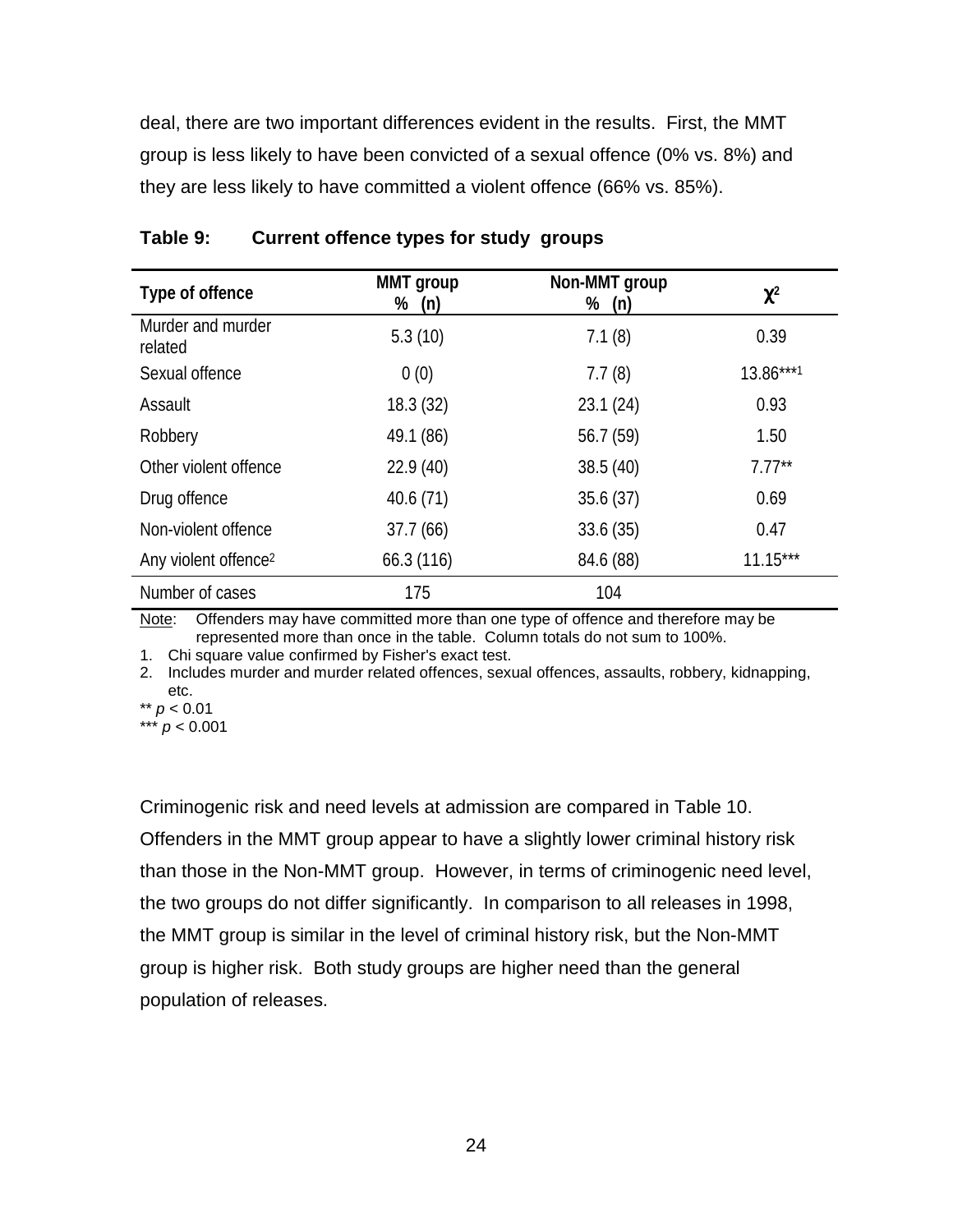<span id="page-30-0"></span>deal, there are two important differences evident in the results. First, the MMT group is less likely to have been convicted of a sexual offence (0% vs. 8%) and they are less likely to have committed a violent offence (66% vs. 85%).

| Type of offence                  | MMT group<br>% (n) | Non-MMT group<br>% (n) | $\chi^2$   |
|----------------------------------|--------------------|------------------------|------------|
| Murder and murder<br>related     | 5.3(10)            | 7.1(8)                 | 0.39       |
| Sexual offence                   | 0(0)               | 7.7(8)                 | 13.86***1  |
| Assault                          | 18.3(32)           | 23.1(24)               | 0.93       |
| Robbery                          | 49.1 (86)          | 56.7 (59)              | 1.50       |
| Other violent offence            | 22.9(40)           | 38.5(40)               | $7.77***$  |
| Drug offence                     | 40.6(71)           | 35.6(37)               | 0.69       |
| Non-violent offence              | 37.7(66)           | 33.6(35)               | 0.47       |
| Any violent offence <sup>2</sup> | 66.3(116)          | 84.6 (88)              | $11.15***$ |
| Number of cases                  | 175                | 104                    |            |

**Table 9: Current offence types for study groups**

Note: Offenders may have committed more than one type of offence and therefore may be represented more than once in the table. Column totals do not sum to 100%.

1. Chi square value confirmed by Fisher's exact test.

2. Includes murder and murder related offences, sexual offences, assaults, robbery, kidnapping, etc.

Criminogenic risk and need levels at admission are compared in Table 10. Offenders in the MMT group appear to have a slightly lower criminal history risk than those in the Non-MMT group. However, in terms of criminogenic need level, the two groups do not differ significantly. In comparison to all releases in 1998, the MMT group is similar in the level of criminal history risk, but the Non-MMT group is higher risk. Both study groups are higher need than the general population of releases.

<sup>\*\*</sup> *p* < 0.01 \*\*\* *p* < 0.001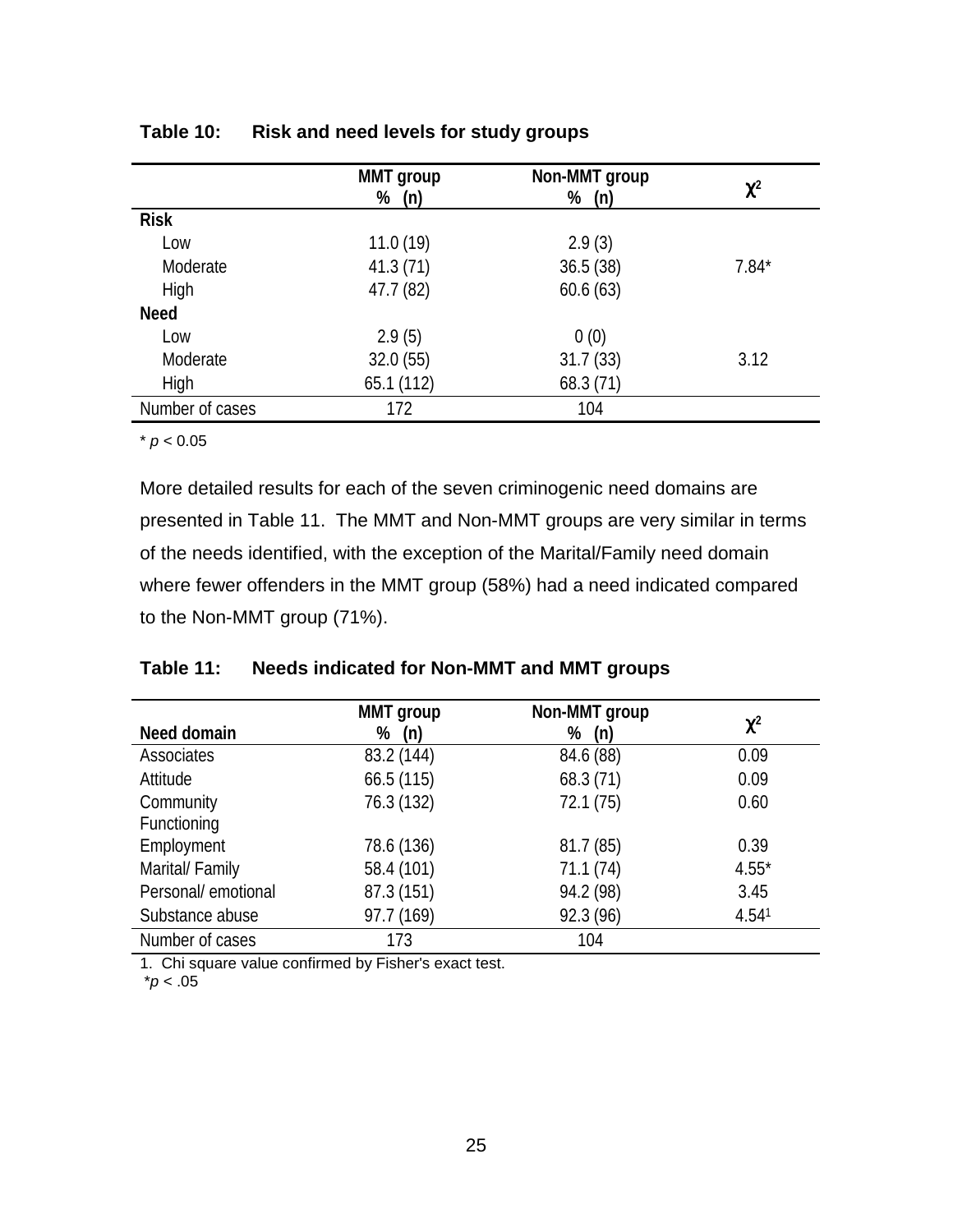|                 | <b>MMT</b> group<br>(n)<br>% | Non-MMT group<br>%<br>(n) | $\chi^2$ |
|-----------------|------------------------------|---------------------------|----------|
| <b>Risk</b>     |                              |                           |          |
| Low             | 11.0(19)                     | 2.9(3)                    |          |
| Moderate        | 41.3(71)                     | 36.5(38)                  | $7.84*$  |
| High            | 47.7 (82)                    | 60.6(63)                  |          |
| <b>Need</b>     |                              |                           |          |
| Low             | 2.9(5)                       | 0(0)                      |          |
| Moderate        | 32.0(55)                     | 31.7(33)                  | 3.12     |
| High            | 65.1(112)                    | 68.3 (71)                 |          |
| Number of cases | 172                          | 104                       |          |

### <span id="page-31-0"></span>**Table 10: Risk and need levels for study groups**

 $*$   $p < 0.05$ 

More detailed results for each of the seven criminogenic need domains are presented in Table 11. The MMT and Non-MMT groups are very similar in terms of the needs identified, with the exception of the Marital/Family need domain where fewer offenders in the MMT group (58%) had a need indicated compared to the Non-MMT group (71%).

# **Table 11: Needs indicated for Non-MMT and MMT groups**

|                     | <b>MMT</b> group | Non-MMT group |          |
|---------------------|------------------|---------------|----------|
| Need domain         | (n)<br>%         | %<br>(n)      | $\chi^2$ |
| Associates          | 83.2 (144)       | 84.6 (88)     | 0.09     |
| Attitude            | 66.5(115)        | 68.3(71)      | 0.09     |
| Community           | 76.3 (132)       | 72.1(75)      | 0.60     |
| Functioning         |                  |               |          |
| Employment          | 78.6 (136)       | 81.7 (85)     | 0.39     |
| Marital/ Family     | 58.4 (101)       | 71.1 (74)     | $4.55*$  |
| Personal/ emotional | 87.3 (151)       | 94.2 (98)     | 3.45     |
| Substance abuse     | 97.7 (169)       | 92.3 (96)     | 4.541    |
| Number of cases     | 173              | 104           |          |

1. Chi square value confirmed by Fisher's exact test.

\**p* < .05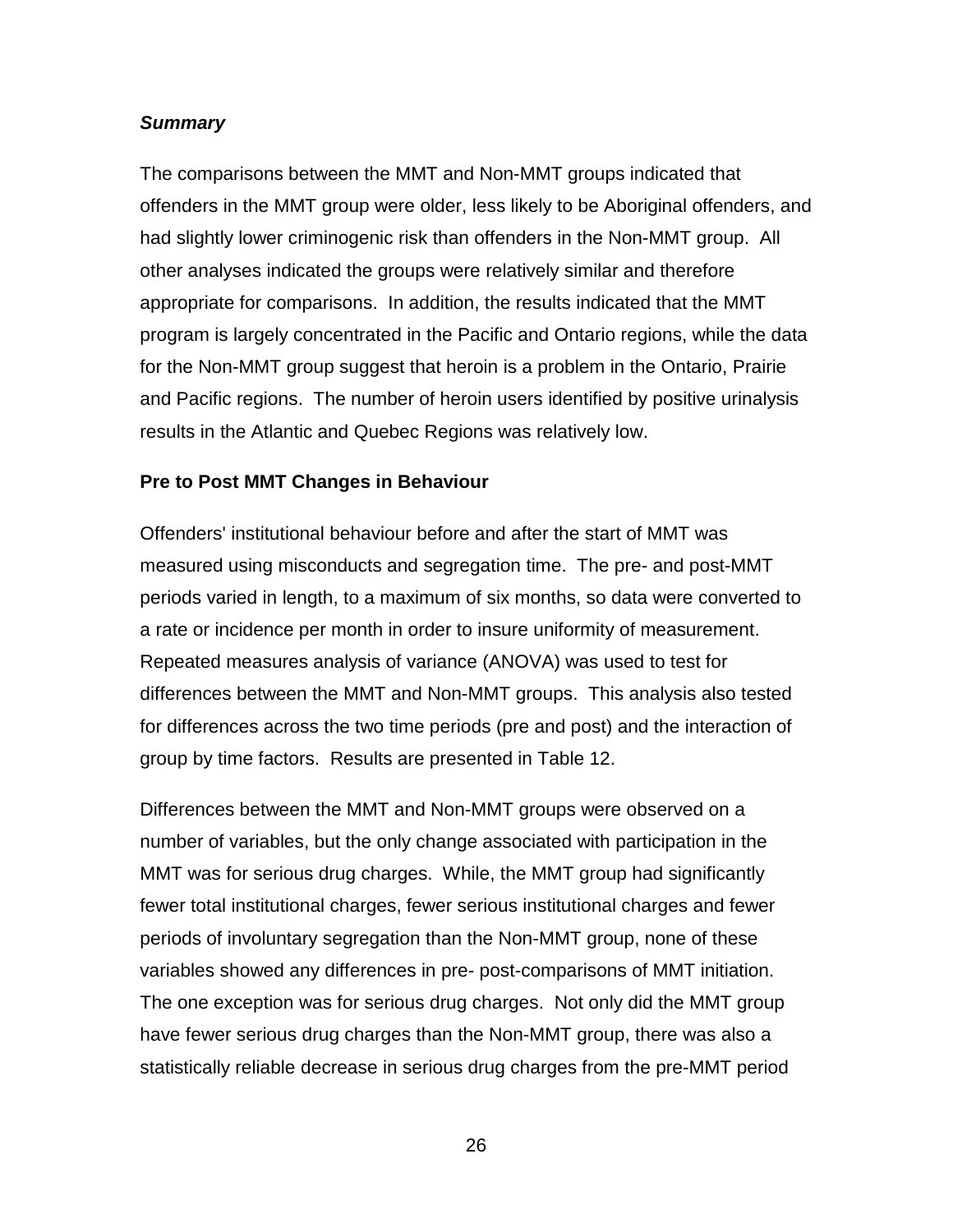### <span id="page-32-0"></span>*Summary*

The comparisons between the MMT and Non-MMT groups indicated that offenders in the MMT group were older, less likely to be Aboriginal offenders, and had slightly lower criminogenic risk than offenders in the Non-MMT group. All other analyses indicated the groups were relatively similar and therefore appropriate for comparisons. In addition, the results indicated that the MMT program is largely concentrated in the Pacific and Ontario regions, while the data for the Non-MMT group suggest that heroin is a problem in the Ontario, Prairie and Pacific regions. The number of heroin users identified by positive urinalysis results in the Atlantic and Quebec Regions was relatively low.

### **Pre to Post MMT Changes in Behaviour**

Offenders' institutional behaviour before and after the start of MMT was measured using misconducts and segregation time. The pre- and post-MMT periods varied in length, to a maximum of six months, so data were converted to a rate or incidence per month in order to insure uniformity of measurement. Repeated measures analysis of variance (ANOVA) was used to test for differences between the MMT and Non-MMT groups. This analysis also tested for differences across the two time periods (pre and post) and the interaction of group by time factors. Results are presented in Table 12.

Differences between the MMT and Non-MMT groups were observed on a number of variables, but the only change associated with participation in the MMT was for serious drug charges. While, the MMT group had significantly fewer total institutional charges, fewer serious institutional charges and fewer periods of involuntary segregation than the Non-MMT group, none of these variables showed any differences in pre- post-comparisons of MMT initiation. The one exception was for serious drug charges. Not only did the MMT group have fewer serious drug charges than the Non-MMT group, there was also a statistically reliable decrease in serious drug charges from the pre-MMT period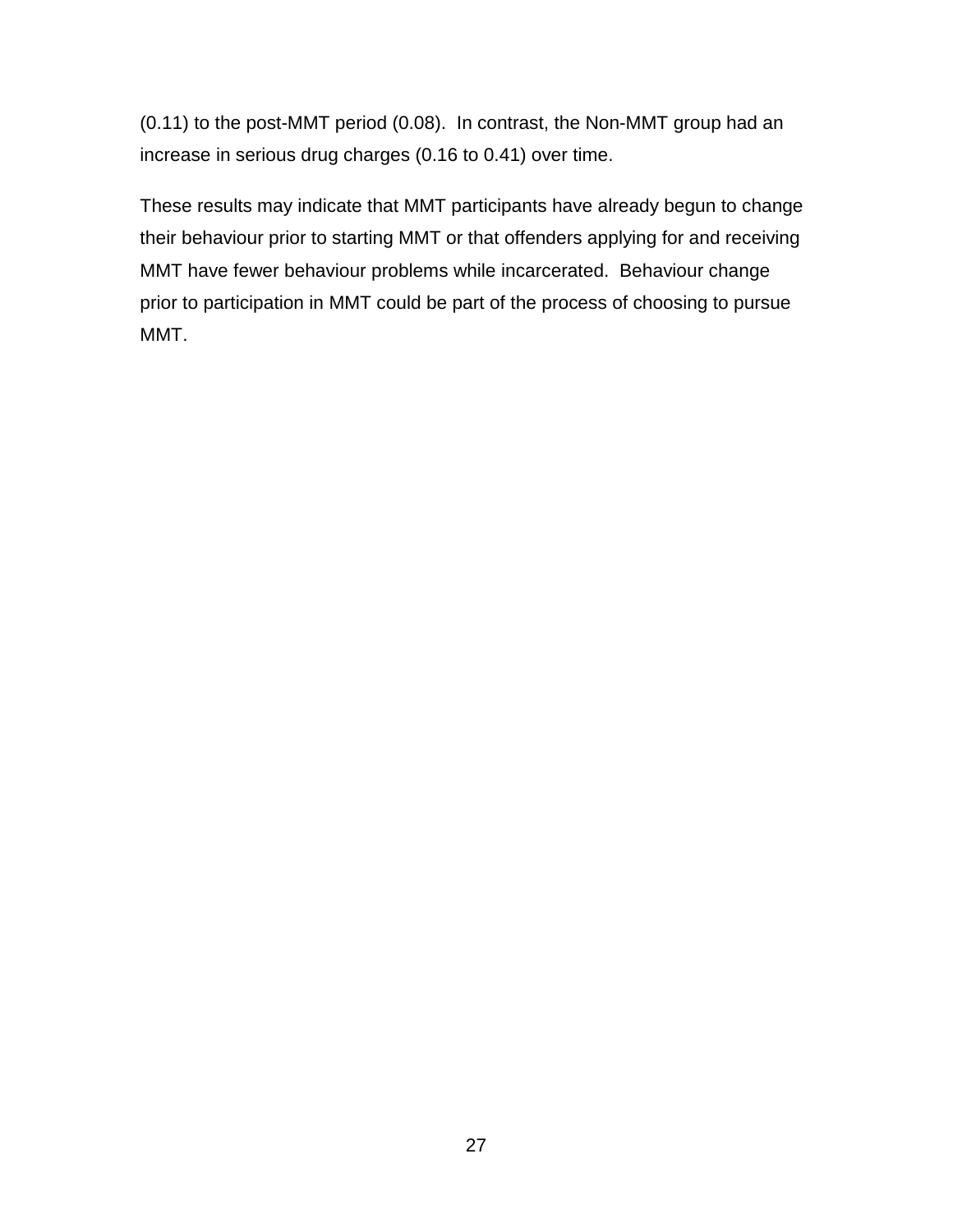(0.11) to the post-MMT period (0.08). In contrast, the Non-MMT group had an increase in serious drug charges (0.16 to 0.41) over time.

These results may indicate that MMT participants have already begun to change their behaviour prior to starting MMT or that offenders applying for and receiving MMT have fewer behaviour problems while incarcerated. Behaviour change prior to participation in MMT could be part of the process of choosing to pursue MMT.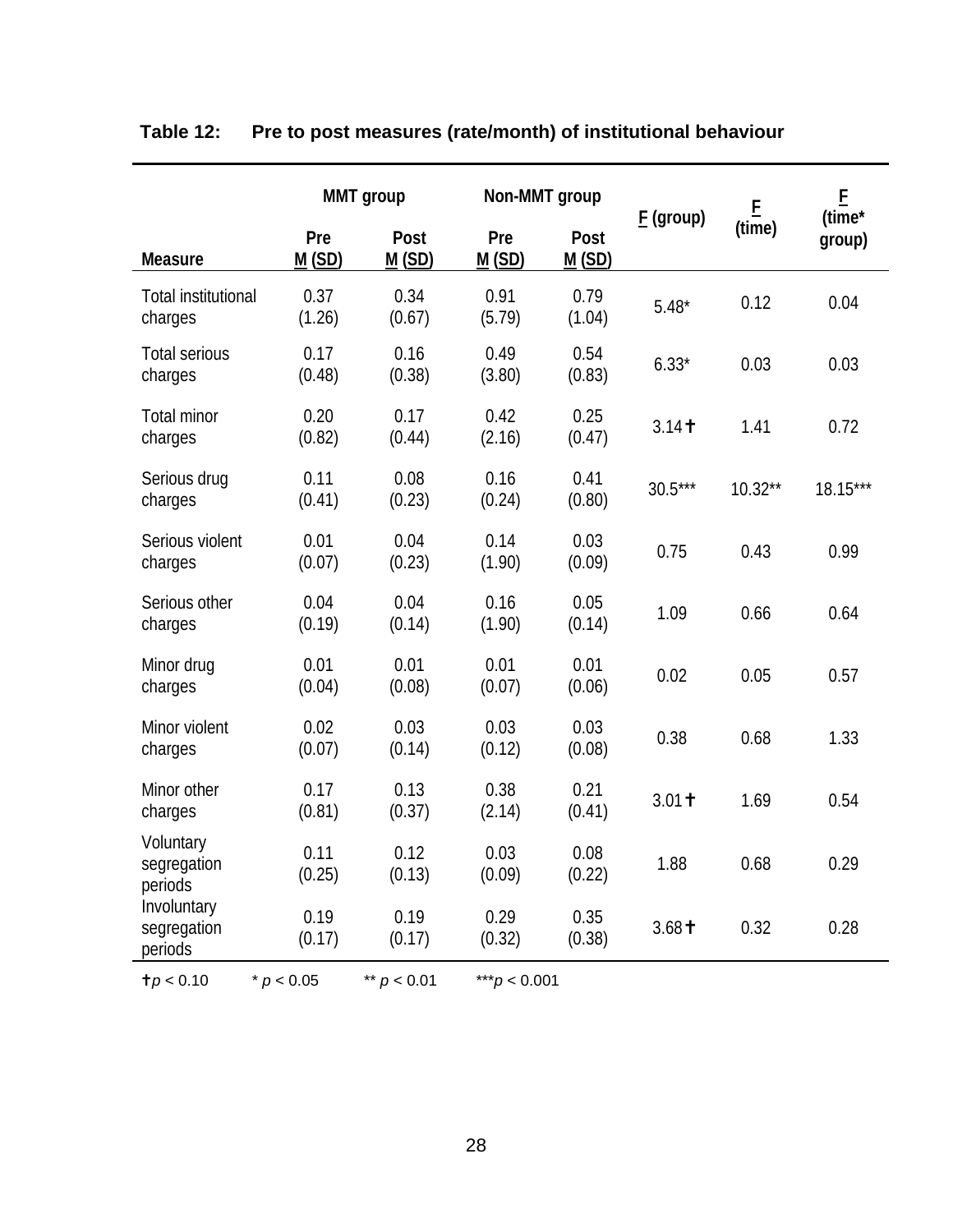|                                       |                | Non-MMT group<br><b>MMT</b> group |                 |                |             |                    | E                |
|---------------------------------------|----------------|-----------------------------------|-----------------|----------------|-------------|--------------------|------------------|
| <b>Measure</b>                        | Pre<br>M(SD)   | Post<br>M(SD)                     | Pre<br>M(SD)    | Post<br>M(SD)  | $E$ (group) | $\frac{E}{(time)}$ | (time*<br>group) |
| <b>Total institutional</b><br>charges | 0.37<br>(1.26) | 0.34<br>(0.67)                    | 0.91<br>(5.79)  | 0.79<br>(1.04) | $5.48*$     | 0.12               | 0.04             |
| <b>Total serious</b><br>charges       | 0.17<br>(0.48) | 0.16<br>(0.38)                    | 0.49<br>(3.80)  | 0.54<br>(0.83) | $6.33*$     | 0.03               | 0.03             |
| <b>Total minor</b><br>charges         | 0.20<br>(0.82) | 0.17<br>(0.44)                    | 0.42<br>(2.16)  | 0.25<br>(0.47) | 3.14        | 1.41               | 0.72             |
| Serious drug<br>charges               | 0.11<br>(0.41) | 0.08<br>(0.23)                    | 0.16<br>(0.24)  | 0.41<br>(0.80) | $30.5***$   | $10.32**$          | 18.15***         |
| Serious violent<br>charges            | 0.01<br>(0.07) | 0.04<br>(0.23)                    | 0.14<br>(1.90)  | 0.03<br>(0.09) | 0.75        | 0.43               | 0.99             |
| Serious other<br>charges              | 0.04<br>(0.19) | 0.04<br>(0.14)                    | 0.16<br>(1.90)  | 0.05<br>(0.14) | 1.09        | 0.66               | 0.64             |
| Minor drug<br>charges                 | 0.01<br>(0.04) | 0.01<br>(0.08)                    | 0.01<br>(0.07)  | 0.01<br>(0.06) | 0.02        | 0.05               | 0.57             |
| Minor violent<br>charges              | 0.02<br>(0.07) | 0.03<br>(0.14)                    | 0.03<br>(0.12)  | 0.03<br>(0.08) | 0.38        | 0.68               | 1.33             |
| Minor other<br>charges                | 0.17<br>(0.81) | 0.13<br>(0.37)                    | 0.38<br>(2.14)  | 0.21<br>(0.41) | $3.01 +$    | 1.69               | 0.54             |
| Voluntary<br>segregation<br>periods   | 0.11<br>(0.25) | 0.12<br>(0.13)                    | 0.03<br>(0.09)  | 0.08<br>(0.22) | 1.88        | 0.68               | 0.29             |
| Involuntary<br>segregation<br>periods | 0.19<br>(0.17) | 0.19<br>(0.17)                    | 0.29<br>(0.32)  | 0.35<br>(0.38) | $3.68 +$    | 0.32               | 0.28             |
| t p < 0.10                            | * $p < 0.05$   | ** $p < 0.01$                     | *** $p$ < 0.001 |                |             |                    |                  |

# <span id="page-34-0"></span>**Table 12: Pre to post measures (rate/month) of institutional behaviour**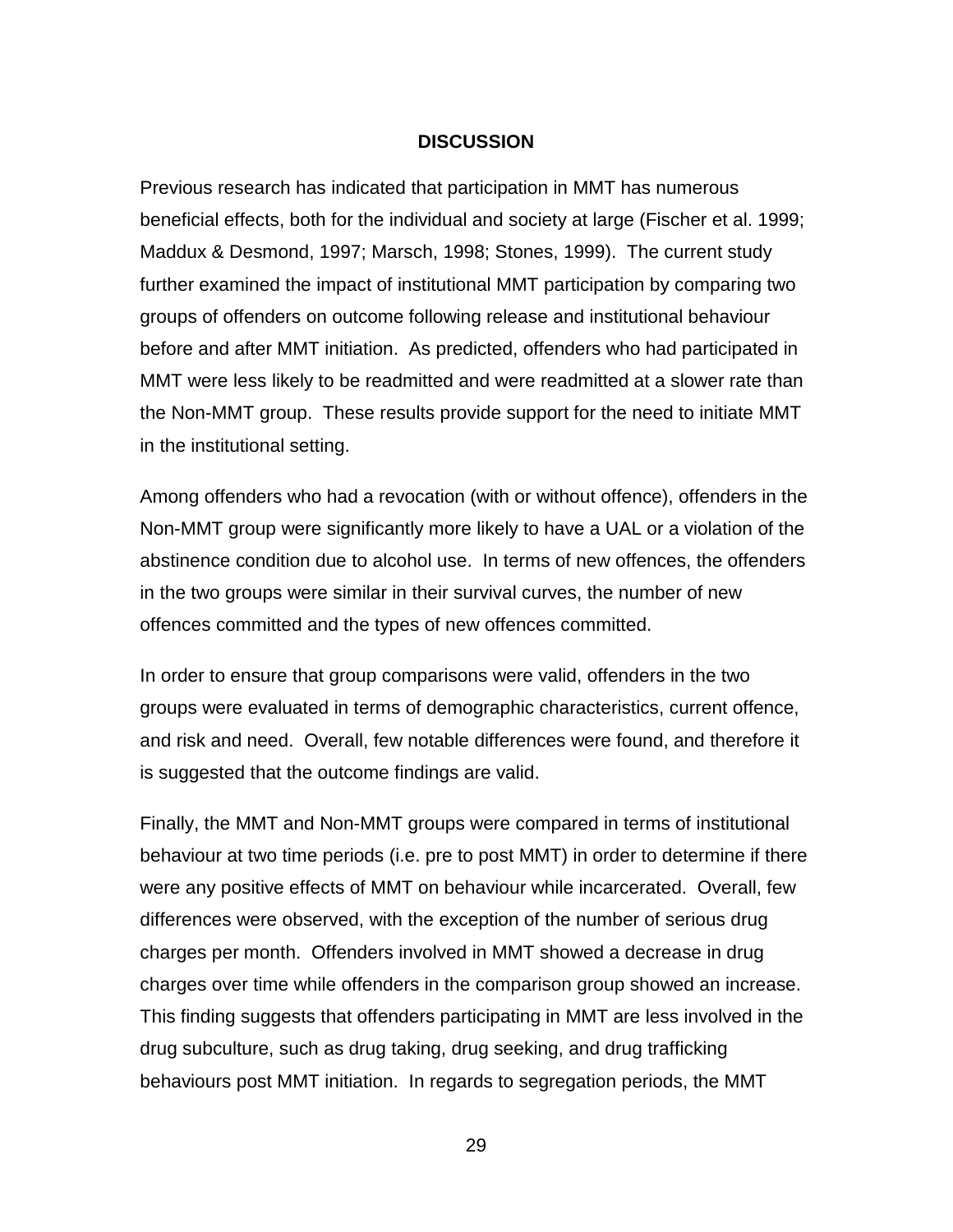#### **DISCUSSION**

<span id="page-35-0"></span>Previous research has indicated that participation in MMT has numerous beneficial effects, both for the individual and society at large (Fischer et al. 1999; Maddux & Desmond, 1997; Marsch, 1998; Stones, 1999). The current study further examined the impact of institutional MMT participation by comparing two groups of offenders on outcome following release and institutional behaviour before and after MMT initiation. As predicted, offenders who had participated in MMT were less likely to be readmitted and were readmitted at a slower rate than the Non-MMT group. These results provide support for the need to initiate MMT in the institutional setting.

Among offenders who had a revocation (with or without offence), offenders in the Non-MMT group were significantly more likely to have a UAL or a violation of the abstinence condition due to alcohol use. In terms of new offences, the offenders in the two groups were similar in their survival curves, the number of new offences committed and the types of new offences committed.

In order to ensure that group comparisons were valid, offenders in the two groups were evaluated in terms of demographic characteristics, current offence, and risk and need. Overall, few notable differences were found, and therefore it is suggested that the outcome findings are valid.

Finally, the MMT and Non-MMT groups were compared in terms of institutional behaviour at two time periods (i.e. pre to post MMT) in order to determine if there were any positive effects of MMT on behaviour while incarcerated. Overall, few differences were observed, with the exception of the number of serious drug charges per month. Offenders involved in MMT showed a decrease in drug charges over time while offenders in the comparison group showed an increase. This finding suggests that offenders participating in MMT are less involved in the drug subculture, such as drug taking, drug seeking, and drug trafficking behaviours post MMT initiation. In regards to segregation periods, the MMT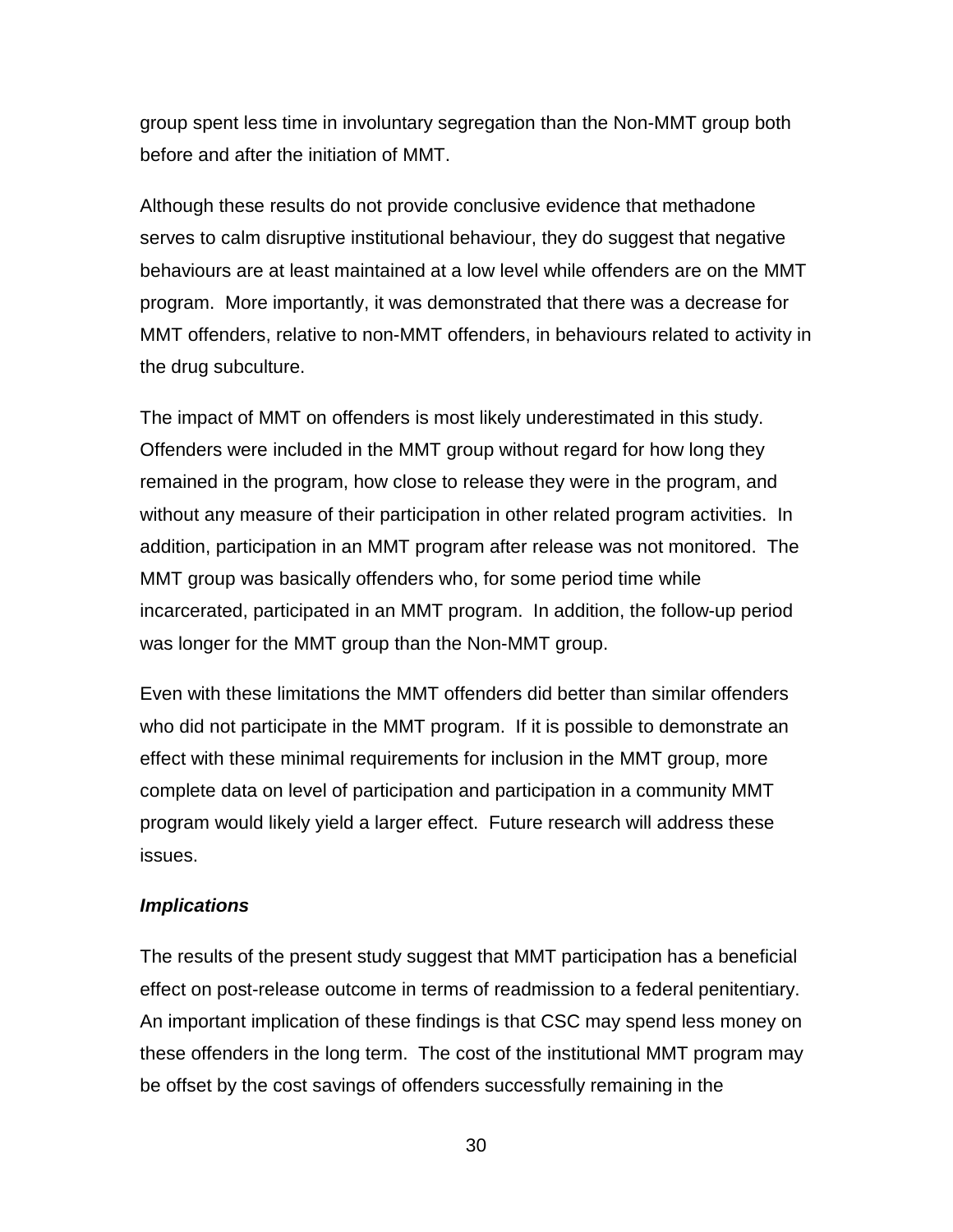<span id="page-36-0"></span>group spent less time in involuntary segregation than the Non-MMT group both before and after the initiation of MMT.

Although these results do not provide conclusive evidence that methadone serves to calm disruptive institutional behaviour, they do suggest that negative behaviours are at least maintained at a low level while offenders are on the MMT program. More importantly, it was demonstrated that there was a decrease for MMT offenders, relative to non-MMT offenders, in behaviours related to activity in the drug subculture.

The impact of MMT on offenders is most likely underestimated in this study. Offenders were included in the MMT group without regard for how long they remained in the program, how close to release they were in the program, and without any measure of their participation in other related program activities. In addition, participation in an MMT program after release was not monitored. The MMT group was basically offenders who, for some period time while incarcerated, participated in an MMT program. In addition, the follow-up period was longer for the MMT group than the Non-MMT group.

Even with these limitations the MMT offenders did better than similar offenders who did not participate in the MMT program. If it is possible to demonstrate an effect with these minimal requirements for inclusion in the MMT group, more complete data on level of participation and participation in a community MMT program would likely yield a larger effect. Future research will address these issues.

#### *Implications*

The results of the present study suggest that MMT participation has a beneficial effect on post-release outcome in terms of readmission to a federal penitentiary. An important implication of these findings is that CSC may spend less money on these offenders in the long term. The cost of the institutional MMT program may be offset by the cost savings of offenders successfully remaining in the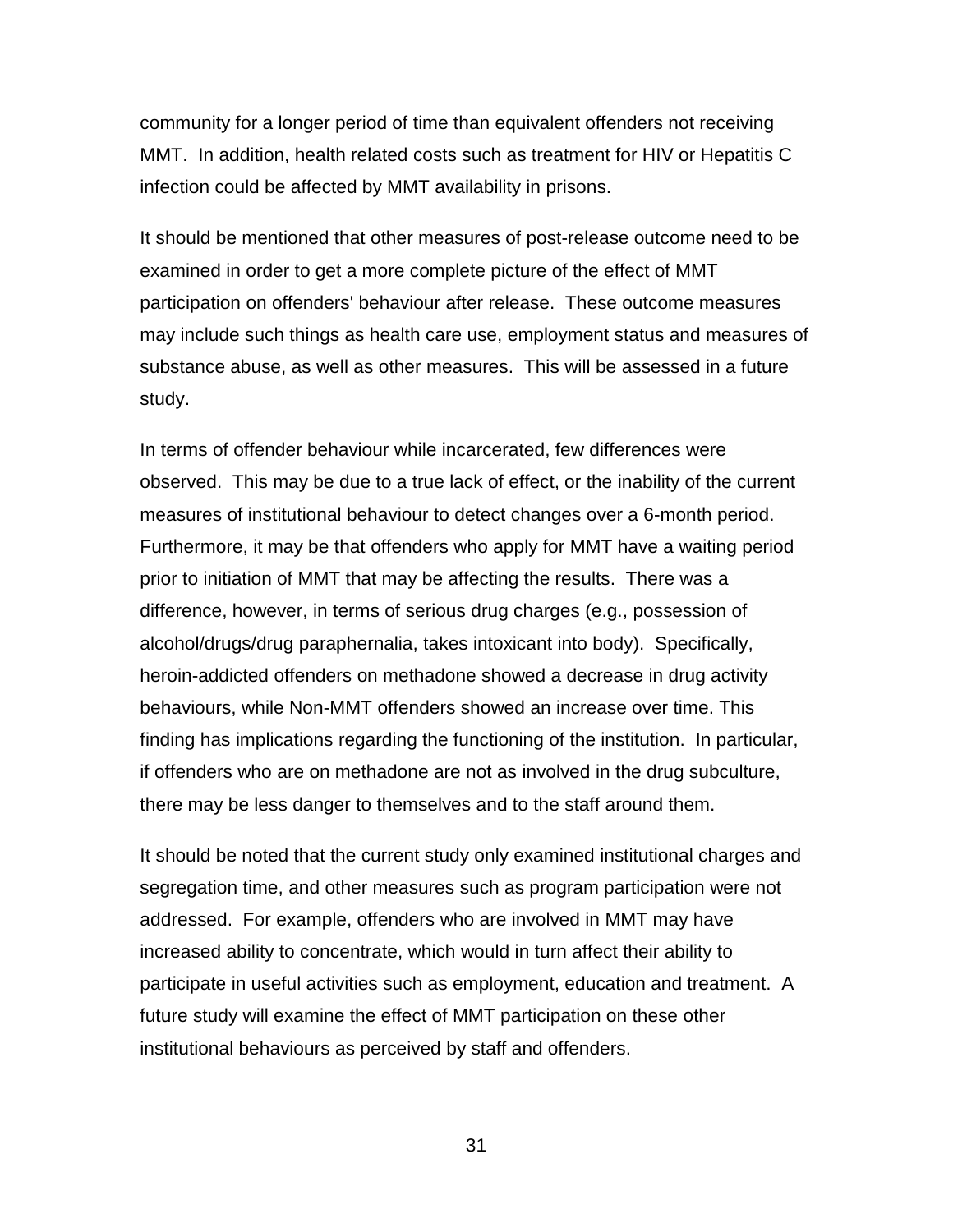community for a longer period of time than equivalent offenders not receiving MMT. In addition, health related costs such as treatment for HIV or Hepatitis C infection could be affected by MMT availability in prisons.

It should be mentioned that other measures of post-release outcome need to be examined in order to get a more complete picture of the effect of MMT participation on offenders' behaviour after release. These outcome measures may include such things as health care use, employment status and measures of substance abuse, as well as other measures. This will be assessed in a future study.

In terms of offender behaviour while incarcerated, few differences were observed. This may be due to a true lack of effect, or the inability of the current measures of institutional behaviour to detect changes over a 6-month period. Furthermore, it may be that offenders who apply for MMT have a waiting period prior to initiation of MMT that may be affecting the results. There was a difference, however, in terms of serious drug charges (e.g., possession of alcohol/drugs/drug paraphernalia, takes intoxicant into body). Specifically, heroin-addicted offenders on methadone showed a decrease in drug activity behaviours, while Non-MMT offenders showed an increase over time. This finding has implications regarding the functioning of the institution. In particular, if offenders who are on methadone are not as involved in the drug subculture, there may be less danger to themselves and to the staff around them.

It should be noted that the current study only examined institutional charges and segregation time, and other measures such as program participation were not addressed. For example, offenders who are involved in MMT may have increased ability to concentrate, which would in turn affect their ability to participate in useful activities such as employment, education and treatment. A future study will examine the effect of MMT participation on these other institutional behaviours as perceived by staff and offenders.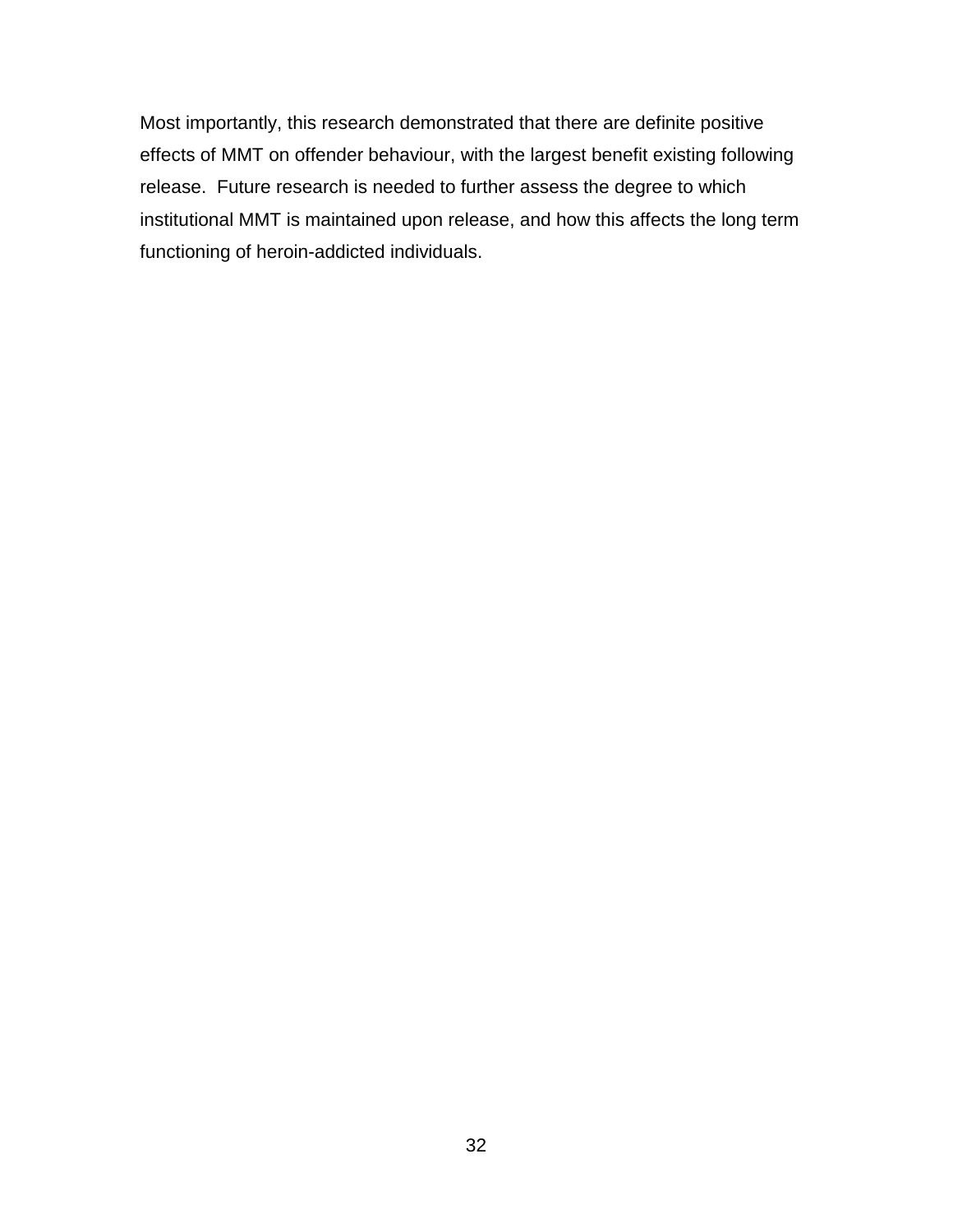Most importantly, this research demonstrated that there are definite positive effects of MMT on offender behaviour, with the largest benefit existing following release. Future research is needed to further assess the degree to which institutional MMT is maintained upon release, and how this affects the long term functioning of heroin-addicted individuals.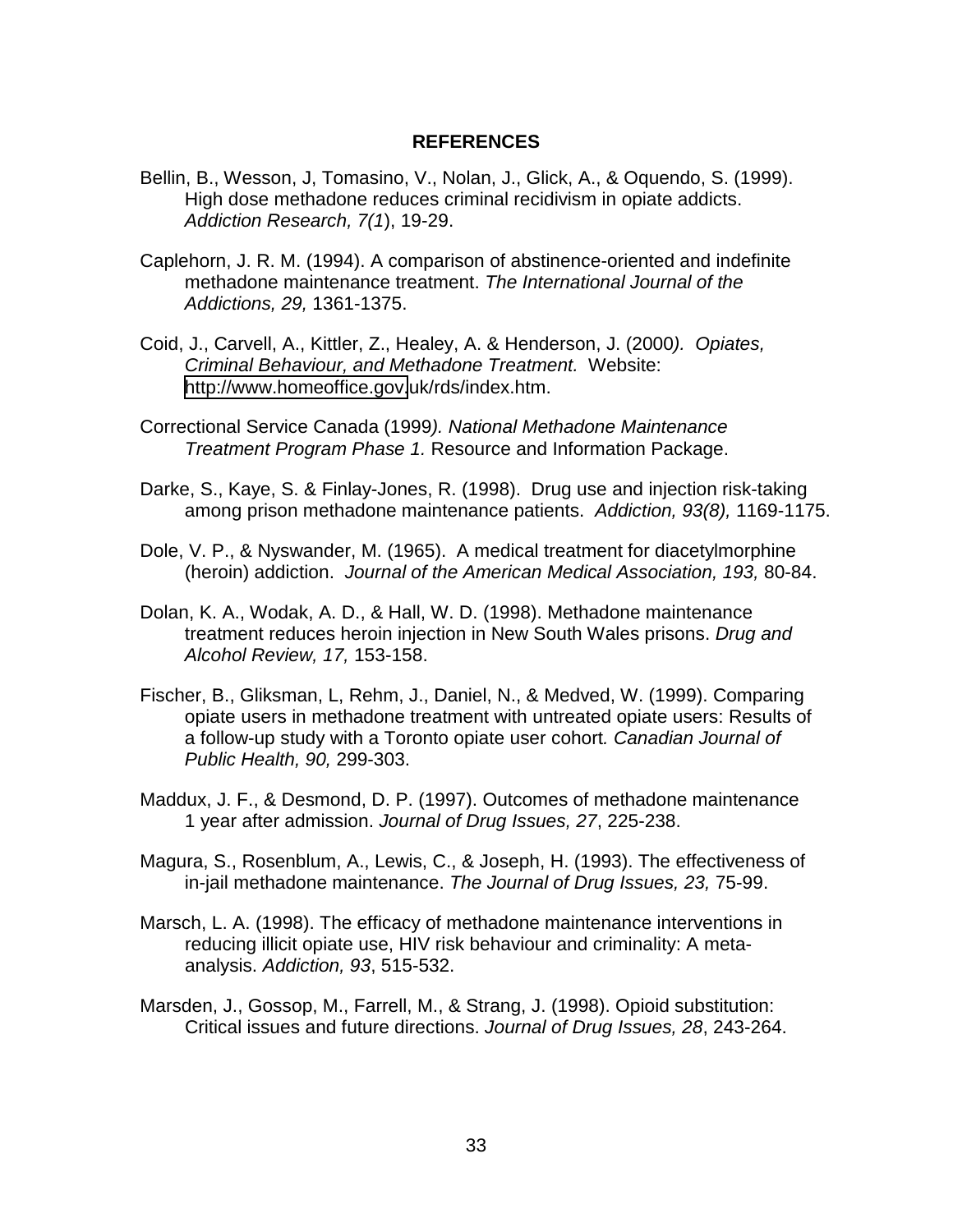#### **REFERENCES**

- <span id="page-39-0"></span>Bellin, B., Wesson, J, Tomasino, V., Nolan, J., Glick, A., & Oquendo, S. (1999). High dose methadone reduces criminal recidivism in opiate addicts. *Addiction Research, 7(1*), 19-29.
- Caplehorn, J. R. M. (1994). A comparison of abstinence-oriented and indefinite methadone maintenance treatment. *The International Journal of the Addictions, 29,* 1361-1375.
- Coid, J., Carvell, A., Kittler, Z., Healey, A. & Henderson, J. (2000*). Opiates, Criminal Behaviour, and Methadone Treatment.* Website: [http://www.homeoffice.gov.](http://www.homeoffice.gov/)uk/rds/index.htm.
- Correctional Service Canada (1999*). National Methadone Maintenance Treatment Program Phase 1.* Resource and Information Package.
- Darke, S., Kaye, S. & Finlay-Jones, R. (1998). Drug use and injection risk-taking among prison methadone maintenance patients. *Addiction, 93(8),* 1169-1175.
- Dole, V. P., & Nyswander, M. (1965). A medical treatment for diacetylmorphine (heroin) addiction. *Journal of the American Medical Association, 193,* 80-84.
- Dolan, K. A., Wodak, A. D., & Hall, W. D. (1998). Methadone maintenance treatment reduces heroin injection in New South Wales prisons. *Drug and Alcohol Review, 17,* 153-158.
- Fischer, B., Gliksman, L, Rehm, J., Daniel, N., & Medved, W. (1999). Comparing opiate users in methadone treatment with untreated opiate users: Results of a follow-up study with a Toronto opiate user cohort*. Canadian Journal of Public Health, 90,* 299-303.
- Maddux, J. F., & Desmond, D. P. (1997). Outcomes of methadone maintenance 1 year after admission. *Journal of Drug Issues, 27*, 225-238.
- Magura, S., Rosenblum, A., Lewis, C., & Joseph, H. (1993). The effectiveness of in-jail methadone maintenance. *The Journal of Drug Issues, 23,* 75-99.
- Marsch, L. A. (1998). The efficacy of methadone maintenance interventions in reducing illicit opiate use, HIV risk behaviour and criminality: A metaanalysis. *Addiction, 93*, 515-532.
- Marsden, J., Gossop, M., Farrell, M., & Strang, J. (1998). Opioid substitution: Critical issues and future directions. *Journal of Drug Issues, 28*, 243-264.